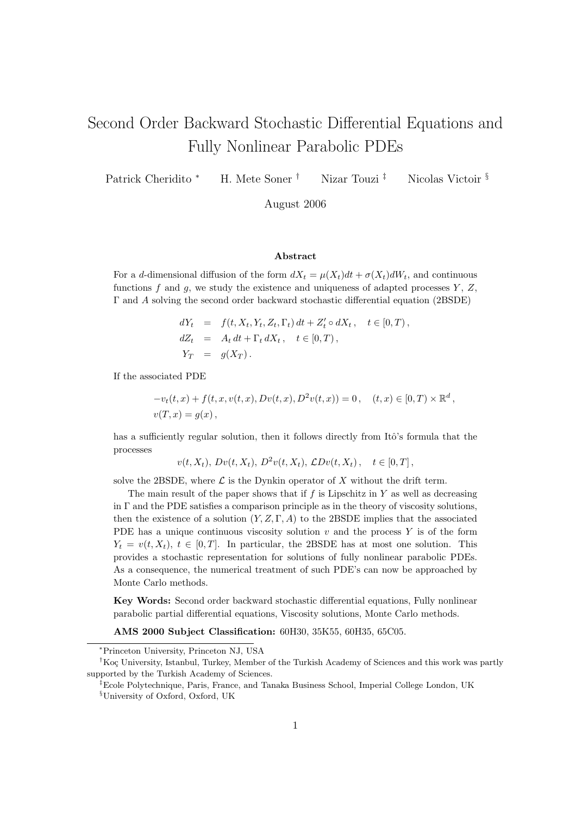# Second Order Backward Stochastic Differential Equations and Fully Nonlinear Parabolic PDEs

Patrick Cheridito <sup>∗</sup> H. Mete Soner <sup>†</sup> Nizar Touzi <sup>‡</sup> Nicolas Victoir §

August 2006

#### Abstract

For a d-dimensional diffusion of the form  $dX_t = \mu(X_t)dt + \sigma(X_t)dW_t$ , and continuous functions f and g, we study the existence and uniqueness of adapted processes  $Y, Z$ , Γ and A solving the second order backward stochastic differential equation (2BSDE)

$$
dY_t = f(t, X_t, Y_t, Z_t, \Gamma_t) dt + Z'_t \circ dX_t, \quad t \in [0, T),
$$
  
\n
$$
dZ_t = A_t dt + \Gamma_t dX_t, \quad t \in [0, T),
$$
  
\n
$$
Y_T = g(X_T).
$$

If the associated PDE

$$
-v_t(t, x) + f(t, x, v(t, x), Dv(t, x), D^2v(t, x)) = 0, \quad (t, x) \in [0, T) \times \mathbb{R}^d,
$$
  

$$
v(T, x) = g(x),
$$

has a sufficiently regular solution, then it follows directly from Itô's formula that the processes

$$
v(t, X_t), Dv(t, X_t), D^2v(t, X_t), CDv(t, X_t), t \in [0, T],
$$

solve the 2BSDE, where  $\mathcal L$  is the Dynkin operator of X without the drift term.

The main result of the paper shows that if  $f$  is Lipschitz in  $Y$  as well as decreasing in  $\Gamma$  and the PDE satisfies a comparison principle as in the theory of viscosity solutions, then the existence of a solution  $(Y, Z, \Gamma, A)$  to the 2BSDE implies that the associated PDE has a unique continuous viscosity solution  $v$  and the process  $Y$  is of the form  $Y_t = v(t, X_t), t \in [0, T].$  In particular, the 2BSDE has at most one solution. This provides a stochastic representation for solutions of fully nonlinear parabolic PDEs. As a consequence, the numerical treatment of such PDE's can now be approached by Monte Carlo methods.

Key Words: Second order backward stochastic differential equations, Fully nonlinear parabolic partial differential equations, Viscosity solutions, Monte Carlo methods.

AMS 2000 Subject Classification: 60H30, 35K55, 60H35, 65C05.

<sup>∗</sup>Princeton University, Princeton NJ, USA

<sup>&</sup>lt;sup>†</sup>Koç University, Istanbul, Turkey, Member of the Turkish Academy of Sciences and this work was partly supported by the Turkish Academy of Sciences.

<sup>‡</sup>Ecole Polytechnique, Paris, France, and Tanaka Business School, Imperial College London, UK §University of Oxford, Oxford, UK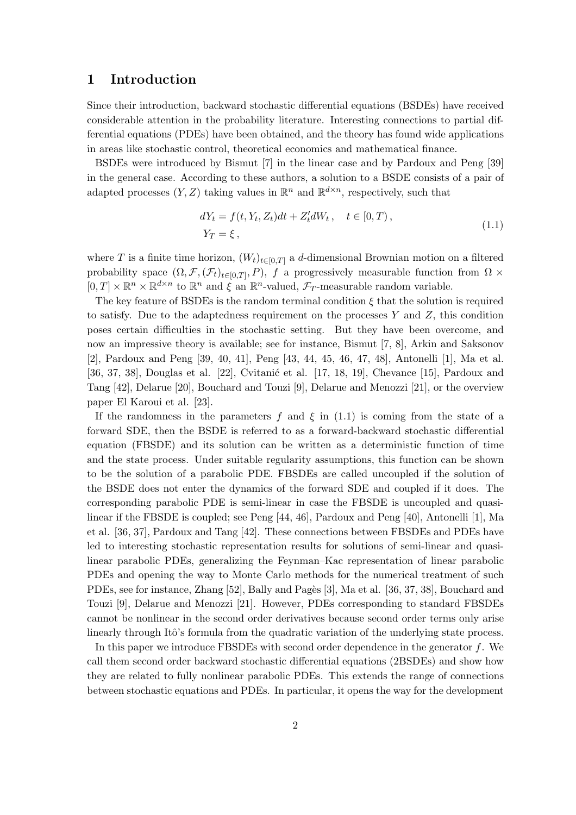# 1 Introduction

Since their introduction, backward stochastic differential equations (BSDEs) have received considerable attention in the probability literature. Interesting connections to partial differential equations (PDEs) have been obtained, and the theory has found wide applications in areas like stochastic control, theoretical economics and mathematical finance.

BSDEs were introduced by Bismut [7] in the linear case and by Pardoux and Peng [39] in the general case. According to these authors, a solution to a BSDE consists of a pair of adapted processes  $(Y, Z)$  taking values in  $\mathbb{R}^n$  and  $\mathbb{R}^{d \times n}$ , respectively, such that

$$
dY_t = f(t, Y_t, Z_t)dt + Z'_t dW_t, \quad t \in [0, T),
$$
  
\n
$$
Y_T = \xi,
$$
\n(1.1)

where T is a finite time horizon,  $(W_t)_{t\in[0,T]}$  a d-dimensional Brownian motion on a filtered probability space  $(\Omega, \mathcal{F}, (\mathcal{F}_t)_{t\in[0,T]}, P)$ , f a progressively measurable function from  $\Omega \times$  $[0,T] \times \mathbb{R}^n \times \mathbb{R}^{d \times n}$  to  $\mathbb{R}^n$  and  $\xi$  an  $\mathbb{R}^n$ -valued,  $\mathcal{F}_T$ -measurable random variable.

The key feature of BSDEs is the random terminal condition  $\xi$  that the solution is required to satisfy. Due to the adaptedness requirement on the processes  $Y$  and  $Z$ , this condition poses certain difficulties in the stochastic setting. But they have been overcome, and now an impressive theory is available; see for instance, Bismut [7, 8], Arkin and Saksonov [2], Pardoux and Peng [39, 40, 41], Peng [43, 44, 45, 46, 47, 48], Antonelli [1], Ma et al. [36, 37, 38], Douglas et al. [22], Cvitanic et al. [17, 18, 19], Chevance [15], Pardoux and Tang [42], Delarue [20], Bouchard and Touzi [9], Delarue and Menozzi [21], or the overview paper El Karoui et al. [23].

If the randomness in the parameters f and  $\xi$  in (1.1) is coming from the state of a forward SDE, then the BSDE is referred to as a forward-backward stochastic differential equation (FBSDE) and its solution can be written as a deterministic function of time and the state process. Under suitable regularity assumptions, this function can be shown to be the solution of a parabolic PDE. FBSDEs are called uncoupled if the solution of the BSDE does not enter the dynamics of the forward SDE and coupled if it does. The corresponding parabolic PDE is semi-linear in case the FBSDE is uncoupled and quasilinear if the FBSDE is coupled; see Peng [44, 46], Pardoux and Peng [40], Antonelli [1], Ma et al. [36, 37], Pardoux and Tang [42]. These connections between FBSDEs and PDEs have led to interesting stochastic representation results for solutions of semi-linear and quasilinear parabolic PDEs, generalizing the Feynman–Kac representation of linear parabolic PDEs and opening the way to Monte Carlo methods for the numerical treatment of such PDEs, see for instance, Zhang [52], Bally and Pagès [3], Ma et al. [36, 37, 38], Bouchard and Touzi [9], Delarue and Menozzi [21]. However, PDEs corresponding to standard FBSDEs cannot be nonlinear in the second order derivatives because second order terms only arise linearly through Itô's formula from the quadratic variation of the underlying state process.

In this paper we introduce FBSDEs with second order dependence in the generator  $f$ . We call them second order backward stochastic differential equations (2BSDEs) and show how they are related to fully nonlinear parabolic PDEs. This extends the range of connections between stochastic equations and PDEs. In particular, it opens the way for the development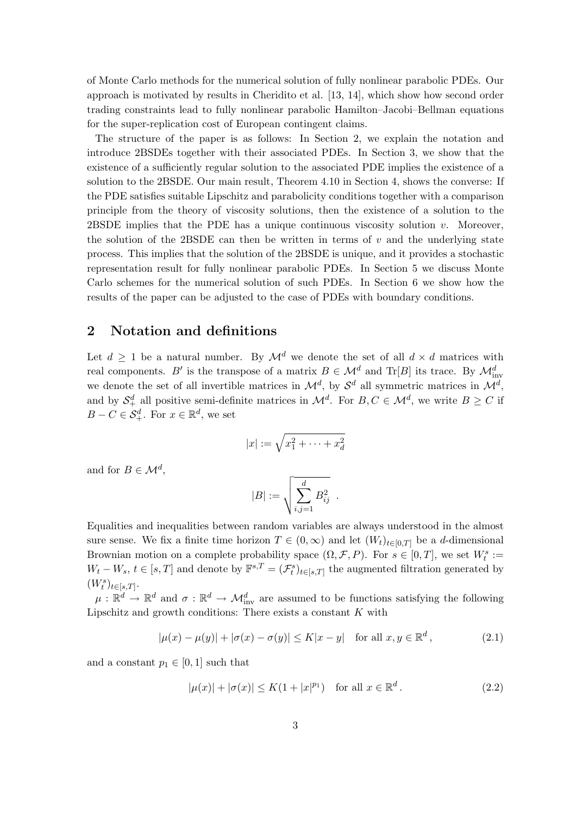of Monte Carlo methods for the numerical solution of fully nonlinear parabolic PDEs. Our approach is motivated by results in Cheridito et al. [13, 14], which show how second order trading constraints lead to fully nonlinear parabolic Hamilton–Jacobi–Bellman equations for the super-replication cost of European contingent claims.

The structure of the paper is as follows: In Section 2, we explain the notation and introduce 2BSDEs together with their associated PDEs. In Section 3, we show that the existence of a sufficiently regular solution to the associated PDE implies the existence of a solution to the 2BSDE. Our main result, Theorem 4.10 in Section 4, shows the converse: If the PDE satisfies suitable Lipschitz and parabolicity conditions together with a comparison principle from the theory of viscosity solutions, then the existence of a solution to the 2BSDE implies that the PDE has a unique continuous viscosity solution  $v$ . Moreover, the solution of the 2BSDE can then be written in terms of  $v$  and the underlying state process. This implies that the solution of the 2BSDE is unique, and it provides a stochastic representation result for fully nonlinear parabolic PDEs. In Section 5 we discuss Monte Carlo schemes for the numerical solution of such PDEs. In Section 6 we show how the results of the paper can be adjusted to the case of PDEs with boundary conditions.

# 2 Notation and definitions

Let  $d \geq 1$  be a natural number. By  $\mathcal{M}^d$  we denote the set of all  $d \times d$  matrices with real components. B' is the transpose of a matrix  $B \in \mathcal{M}^d$  and Tr[B] its trace. By  $\mathcal{M}_{inv}^d$ we denote the set of all invertible matrices in  $\mathcal{M}^d$ , by  $\mathcal{S}^d$  all symmetric matrices in  $\mathcal{M}^d$ , and by  $S^d_+$  all positive semi-definite matrices in  $\mathcal{M}^d$ . For  $B, C \in \mathcal{M}^d$ , we write  $B \ge C$  if  $B - C \in \mathcal{S}_{+}^{d}$ . For  $x \in \mathbb{R}^{d}$ , we set

$$
|x| := \sqrt{x_1^2 + \dots + x_d^2}
$$

and for  $B \in \mathcal{M}^d$ ,

$$
|B| := \sqrt{\sum_{i,j=1}^d B_{ij}^2} \enspace .
$$

Equalities and inequalities between random variables are always understood in the almost sure sense. We fix a finite time horizon  $T \in (0,\infty)$  and let  $(W_t)_{t\in[0,T]}$  be a d-dimensional Brownian motion on a complete probability space  $(\Omega, \mathcal{F}, P)$ . For  $s \in [0, T]$ , we set  $W_t^s :=$  $W_t - W_s$ ,  $t \in [s, T]$  and denote by  $\mathbb{F}^{s,T} = (\mathcal{F}_t^s)_{t \in [s,T]}$  the augmented filtration generated by  $(W_t^s)_{t\in[s,T]}.$ 

 $\mu: \mathbb{R}^d \to \mathbb{R}^d$  and  $\sigma: \mathbb{R}^d \to \mathcal{M}_{\text{inv}}^d$  are assumed to be functions satisfying the following Lipschitz and growth conditions: There exists a constant  $K$  with

$$
|\mu(x) - \mu(y)| + |\sigma(x) - \sigma(y)| \le K|x - y| \quad \text{for all } x, y \in \mathbb{R}^d,
$$
 (2.1)

and a constant  $p_1 \in [0, 1]$  such that

$$
|\mu(x)| + |\sigma(x)| \le K(1 + |x|^{p_1}) \quad \text{for all } x \in \mathbb{R}^d. \tag{2.2}
$$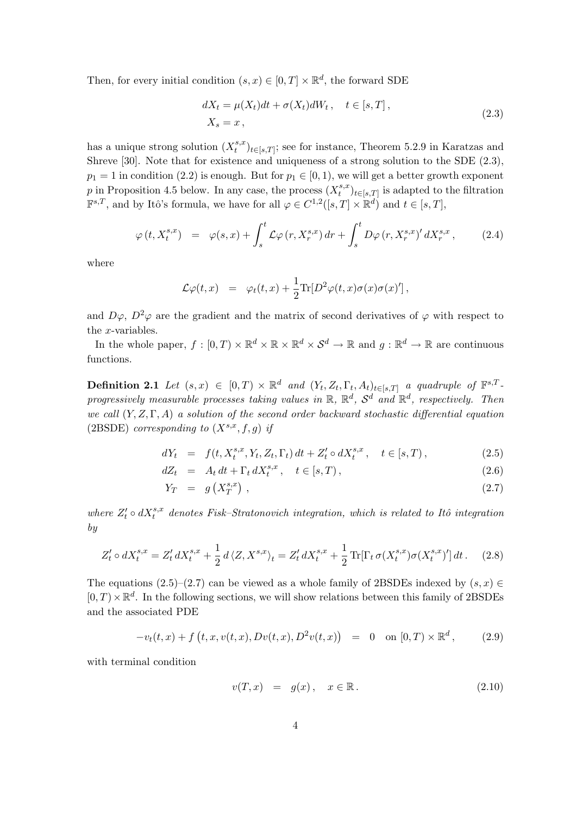Then, for every initial condition  $(s, x) \in [0, T] \times \mathbb{R}^d$ , the forward SDE

$$
dX_t = \mu(X_t)dt + \sigma(X_t)dW_t, \quad t \in [s, T],
$$
  
\n
$$
X_s = x,
$$
\n(2.3)

has a unique strong solution  $(X_t^{s,x})$  $(t_t^{s,x})_{t\in[s,T]}$ ; see for instance, Theorem 5.2.9 in Karatzas and Shreve [30]. Note that for existence and uniqueness of a strong solution to the SDE (2.3),  $p_1 = 1$  in condition (2.2) is enough. But for  $p_1 \in [0, 1)$ , we will get a better growth exponent p in Proposition 4.5 below. In any case, the process  $(X_t^{s,x})$  $(t_t^{s,x})_{t\in[s,T]}$  is adapted to the filtration  $\mathbb{F}^{s,T}$ , and by Itô's formula, we have for all  $\varphi \in C^{1,2}([s,T] \times \mathbb{R}^d)$  and  $t \in [s,T]$ ,

$$
\varphi(t, X_t^{s,x}) = \varphi(s,x) + \int_s^t \mathcal{L}\varphi(r, X_r^{s,x}) dr + \int_s^t D\varphi(r, X_r^{s,x})' dX_r^{s,x}, \qquad (2.4)
$$

where

$$
\mathcal{L}\varphi(t,x) = \varphi_t(t,x) + \frac{1}{2}\text{Tr}[D^2\varphi(t,x)\sigma(x)\sigma(x)']\,,
$$

and  $D\varphi$ ,  $D^2\varphi$  are the gradient and the matrix of second derivatives of  $\varphi$  with respect to the x-variables.

In the whole paper,  $f : [0, T) \times \mathbb{R}^d \times \mathbb{R} \times \mathbb{R}^d \times S^d \to \mathbb{R}$  and  $g : \mathbb{R}^d \to \mathbb{R}$  are continuous functions.

**Definition 2.1** Let  $(s, x) \in [0, T) \times \mathbb{R}^d$  and  $(Y_t, Z_t, \Gamma_t, A_t)_{t \in [s, T]}$  a quadruple of  $\mathbb{F}^{s, T}$ progressively measurable processes taking values in  $\mathbb{R}$ ,  $\mathbb{R}^d$ ,  $\mathcal{S}^d$  and  $\mathbb{R}^d$ , respectively. Then we call  $(Y, Z, \Gamma, A)$  a solution of the second order backward stochastic differential equation (2BSDE) corresponding to  $(X^{s,x}, f, g)$  if

$$
dY_t = f(t, X_t^{s,x}, Y_t, Z_t, \Gamma_t) dt + Z_t' \circ dX_t^{s,x}, \quad t \in [s, T), \tag{2.5}
$$

$$
dZ_t = A_t dt + \Gamma_t dX_t^{s,x}, \quad t \in [s, T), \tag{2.6}
$$

$$
Y_T = g\left(X_T^{s,x}\right),\tag{2.7}
$$

where  $Z_t' \circ dX_t^{s,x}$  denotes Fisk–Stratonovich integration, which is related to Itô integration by

$$
Z'_t \circ dX_t^{s,x} = Z'_t dX_t^{s,x} + \frac{1}{2} d \langle Z, X^{s,x} \rangle_t = Z'_t dX_t^{s,x} + \frac{1}{2} \text{Tr}[\Gamma_t \sigma(X_t^{s,x}) \sigma(X_t^{s,x})'] dt. \tag{2.8}
$$

The equations (2.5)–(2.7) can be viewed as a whole family of 2BSDEs indexed by  $(s, x) \in$  $[0, T) \times \mathbb{R}^d$ . In the following sections, we will show relations between this family of 2BSDEs and the associated PDE

$$
-v_t(t, x) + f(t, x, v(t, x), Dv(t, x), D^2v(t, x)) = 0 \text{ on } [0, T) \times \mathbb{R}^d, \qquad (2.9)
$$

with terminal condition

$$
v(T, x) = g(x), \quad x \in \mathbb{R}.
$$
\n
$$
(2.10)
$$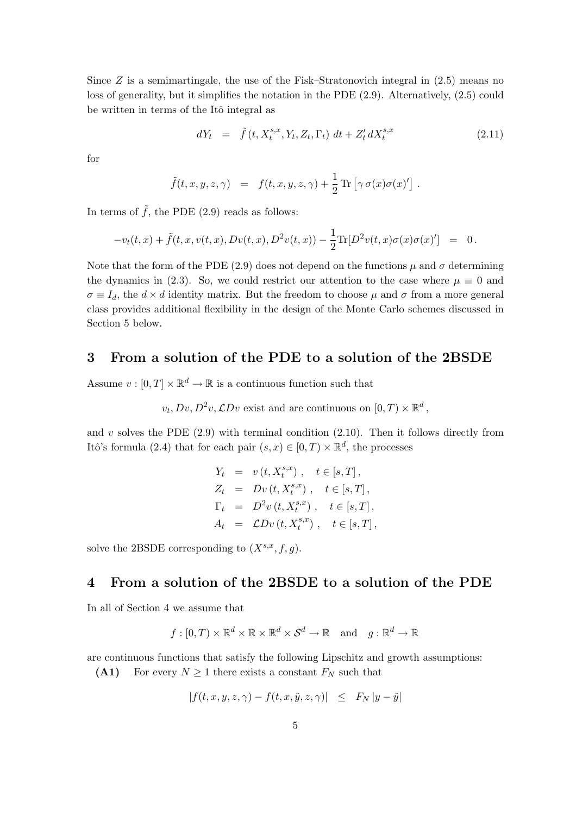Since  $Z$  is a semimartingale, the use of the Fisk–Stratonovich integral in  $(2.5)$  means no loss of generality, but it simplifies the notation in the PDE (2.9). Alternatively, (2.5) could be written in terms of the Itô integral as

$$
dY_t = \tilde{f}(t, X_t^{s,x}, Y_t, Z_t, \Gamma_t) dt + Z_t^{\prime} dX_t^{s,x}
$$
\n(2.11)

for

$$
\tilde{f}(t,x,y,z,\gamma) = f(t,x,y,z,\gamma) + \frac{1}{2} \operatorname{Tr} [\gamma \sigma(x)\sigma(x)'] .
$$

In terms of  $\tilde{f}$ , the PDE (2.9) reads as follows:

$$
-v_t(t,x) + \tilde{f}(t,x,v(t,x),Dv(t,x),D^2v(t,x)) - \frac{1}{2}\text{Tr}[D^2v(t,x)\sigma(x)\sigma(x)'] = 0.
$$

Note that the form of the PDE (2.9) does not depend on the functions  $\mu$  and  $\sigma$  determining the dynamics in (2.3). So, we could restrict our attention to the case where  $\mu \equiv 0$  and  $\sigma \equiv I_d$ , the  $d \times d$  identity matrix. But the freedom to choose  $\mu$  and  $\sigma$  from a more general class provides additional flexibility in the design of the Monte Carlo schemes discussed in Section 5 below.

# 3 From a solution of the PDE to a solution of the 2BSDE

Assume  $v : [0, T] \times \mathbb{R}^d \to \mathbb{R}$  is a continuous function such that

$$
v_t, Dv, D^2v, \mathcal{L}Dv
$$
 exist and are continuous on  $[0, T) \times \mathbb{R}^d$ ,

and  $v$  solves the PDE  $(2.9)$  with terminal condition  $(2.10)$ . Then it follows directly from Itô's formula (2.4) that for each pair  $(s, x) \in [0, T) \times \mathbb{R}^d$ , the processes

$$
Y_t = v(t, X_t^{s,x}), \t t \in [s, T],
$$
  
\n
$$
Z_t = Dv(t, X_t^{s,x}), \t t \in [s, T],
$$
  
\n
$$
\Gamma_t = D^2v(t, X_t^{s,x}), \t t \in [s, T],
$$
  
\n
$$
A_t = CDv(t, X_t^{s,x}), \t t \in [s, T],
$$

solve the 2BSDE corresponding to  $(X^{s,x}, f, q)$ .

# 4 From a solution of the 2BSDE to a solution of the PDE

In all of Section 4 we assume that

$$
f: [0, T) \times \mathbb{R}^d \times \mathbb{R} \times \mathbb{R}^d \times \mathcal{S}^d \to \mathbb{R}
$$
 and  $g: \mathbb{R}^d \to \mathbb{R}$ 

are continuous functions that satisfy the following Lipschitz and growth assumptions:

(A1) For every  $N \geq 1$  there exists a constant  $F_N$  such that

$$
|f(t, x, y, z, \gamma) - f(t, x, \tilde{y}, z, \gamma)| \leq F_N |y - \tilde{y}|
$$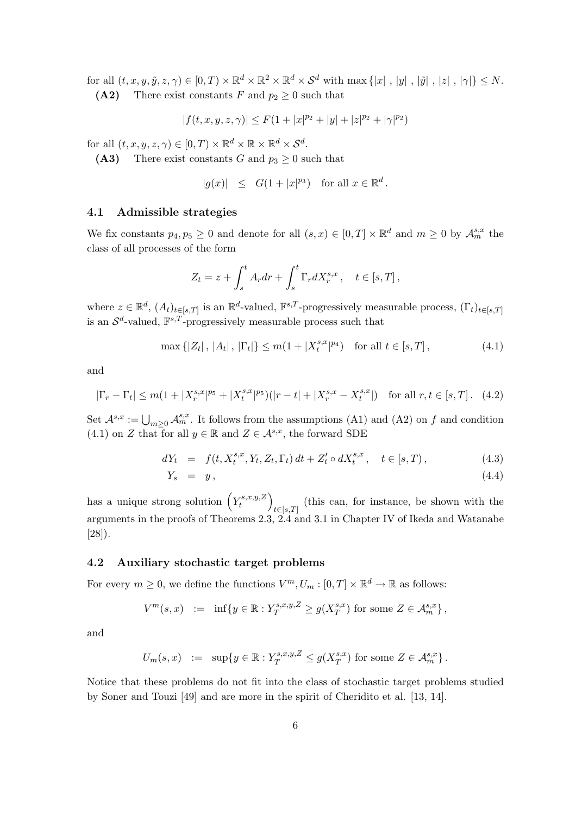for all  $(t, x, y, \tilde{y}, z, \gamma) \in [0, T) \times \mathbb{R}^d \times \mathbb{R}^2 \times \mathbb{R}^d \times \mathcal{S}^d$  with  $\max\{|x|, |y|, |\tilde{y}|, |z|, |\gamma|\} \leq N$ . (A2) There exist constants F and  $p_2 \geq 0$  such that

$$
|f(t, x, y, z, \gamma)| \le F(1 + |x|^{p_2} + |y| + |z|^{p_2} + |\gamma|^{p_2})
$$

for all  $(t, x, y, z, \gamma) \in [0, T) \times \mathbb{R}^d \times \mathbb{R} \times \mathbb{R}^d \times S^d$ .

(A3) There exist constants G and  $p_3 \geq 0$  such that

$$
|g(x)| \leq G(1+|x|^{p_3}) \text{ for all } x \in \mathbb{R}^d.
$$

#### 4.1 Admissible strategies

We fix constants  $p_4, p_5 \geq 0$  and denote for all  $(s, x) \in [0, T] \times \mathbb{R}^d$  and  $m \geq 0$  by  $\mathcal{A}_m^{s,x}$  the class of all processes of the form

$$
Z_t = z + \int_s^t A_r dr + \int_s^t \Gamma_r dX_r^{s,x}, \quad t \in [s, T],
$$

where  $z \in \mathbb{R}^d$ ,  $(A_t)_{t \in [s,T]}$  is an  $\mathbb{R}^d$ -valued,  $\mathbb{F}^{s,T}$ -progressively measurable process,  $(\Gamma_t)_{t \in [s,T]}$ is an  $\mathcal{S}^d$ -valued,  $\mathbb{F}^{s,T}$ -progressively measurable process such that

$$
\max\{|Z_t|, |A_t|, |\Gamma_t|\} \le m(1+|X_t^{s,x}|^{p_4}) \text{ for all } t \in [s,T],
$$
\n(4.1)

and

$$
|\Gamma_r - \Gamma_t| \le m(1 + |X_r^{s,x}|^{p_5} + |X_t^{s,x}|^{p_5}) (|r - t| + |X_r^{s,x} - X_t^{s,x}|) \text{ for all } r, t \in [s, T]. \tag{4.2}
$$

Set  $\mathcal{A}^{s,x} := \bigcup_{m\geq 0} \mathcal{A}_m^{s,x}$ . It follows from the assumptions (A1) and (A2) on f and condition (4.1) on Z that for all  $y \in \mathbb{R}$  and  $Z \in \mathcal{A}^{s,x}$ , the forward SDE

$$
dY_t = f(t, X_t^{s,x}, Y_t, Z_t, \Gamma_t) dt + Z_t' \circ dX_t^{s,x}, \quad t \in [s, T),
$$
\n(4.3)

$$
Y_s = y, \tag{4.4}
$$

has a unique strong solution  $(Y_t^{s,x,y,Z})$ t  $t \in [s,T]$  (this can, for instance, be shown with the arguments in the proofs of Theorems 2.3, 2.4 and 3.1 in Chapter IV of Ikeda and Watanabe [28]).

## 4.2 Auxiliary stochastic target problems

For every  $m \geq 0$ , we define the functions  $V^m, U_m : [0, T] \times \mathbb{R}^d \to \mathbb{R}$  as follows:

$$
V^m(s, x) \quad := \quad \inf\{y \in \mathbb{R} : Y_T^{s, x, y, Z} \ge g(X_T^{s, x}) \text{ for some } Z \in \mathcal{A}_m^{s, x}\},
$$

and

$$
U_m(s,x) \ := \ \sup\{y\in\mathbb{R}: Y^{s,x,y,Z}_T\leq g(X^{s,x}_T) \text{ for some } Z\in \mathcal{A}^{s,x}_m\}\,.
$$

Notice that these problems do not fit into the class of stochastic target problems studied by Soner and Touzi [49] and are more in the spirit of Cheridito et al. [13, 14].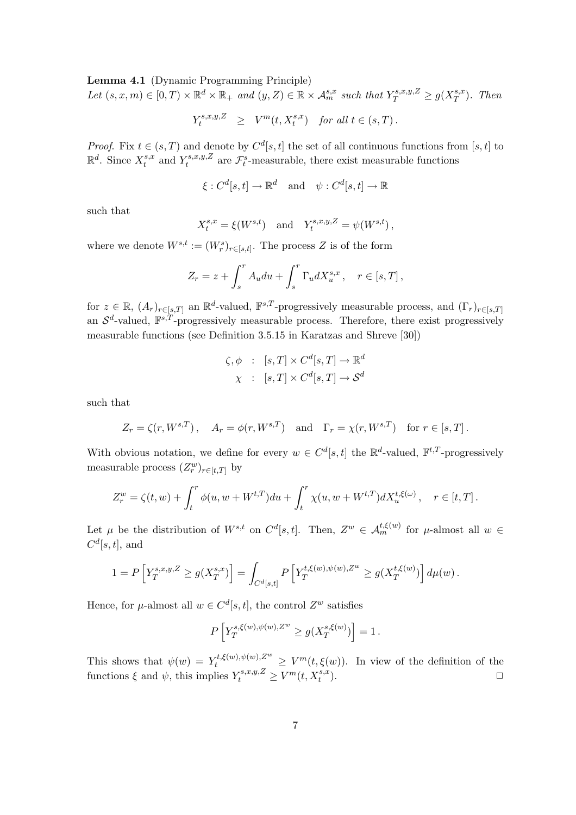Lemma 4.1 (Dynamic Programming Principle)

Let  $(s, x, m) \in [0, T) \times \mathbb{R}^d \times \mathbb{R}_+$  and  $(y, Z) \in \mathbb{R} \times A_m^{s,x}$  such that  $Y_T^{s,x,y,Z} \ge g(X_T^{s,x} \times \mathbb{R}_+^d)$  $_{T}^{s,x}$ ). Then

$$
Y_t^{s,x,y,Z} \geq V^m(t,X_t^{s,x}) \quad \text{for all } t \in (s,T) \, .
$$

*Proof.* Fix  $t \in (s, T)$  and denote by  $C^d[s, t]$  the set of all continuous functions from [s, t] to  $\mathbb{R}^d$ . Since  $X_t^{s,x}$  $t^{s,x}$  and  $Y^{s,x,y,Z}_t$  $\mathcal{F}^{s,x,y,Z}_{t}$  are  $\mathcal{F}^{s}_{t}$ -measurable, there exist measurable functions

$$
\xi: C^d[s, t] \to \mathbb{R}^d
$$
 and  $\psi: C^d[s, t] \to \mathbb{R}$ 

such that

$$
X_t^{s,x} = \xi(W^{s,t})
$$
 and  $Y_t^{s,x,y,Z} = \psi(W^{s,t}),$ 

where we denote  $W^{s,t} := (W_r^s)_{r \in [s,t]}$ . The process Z is of the form

$$
Z_r = z + \int_s^r A_u du + \int_s^r \Gamma_u dX_u^{s,x}, \quad r \in [s, T],
$$

for  $z \in \mathbb{R}$ ,  $(A_r)_{r \in [s,T]}$  an  $\mathbb{R}^d$ -valued,  $\mathbb{F}^{s,T}$ -progressively measurable process, and  $(\Gamma_r)_{r \in [s,T]}$ an  $\mathcal{S}^d$ -valued,  $\mathbb{F}^{s,T}$ -progressively measurable process. Therefore, there exist progressively measurable functions (see Definition 3.5.15 in Karatzas and Shreve [30])

$$
\zeta, \phi : [s, T] \times C^d[s, T] \to \mathbb{R}^d
$$

$$
\chi : [s, T] \times C^d[s, T] \to \mathcal{S}^d
$$

such that

$$
Z_r = \zeta(r, W^{s,T}), \quad A_r = \phi(r, W^{s,T})
$$
 and  $\Gamma_r = \chi(r, W^{s,T})$  for  $r \in [s,T]$ .

With obvious notation, we define for every  $w \in C^d[s, t]$  the  $\mathbb{R}^d$ -valued,  $\mathbb{F}^{t, T}$ -progressively measurable process  $(Z_r^w)_{r \in [t,T]}$  by

$$
Z_r^w = \zeta(t, w) + \int_t^r \phi(u, w + W^{t, T}) du + \int_t^r \chi(u, w + W^{t, T}) dX_u^{t, \xi(\omega)}, \quad r \in [t, T].
$$

Let  $\mu$  be the distribution of  $W^{s,t}$  on  $C^d[s,t]$ . Then,  $Z^w \in \mathcal{A}_m^{t,\xi(w)}$  for  $\mu$ -almost all  $w \in$  $C^d[s,t]$ , and

$$
1=P\left[Y_T^{s,x,y,Z}\geq g(X_T^{s,x})\right]=\int_{C^d[s,t]}P\left[Y_T^{t,\xi(w),\psi(w),Z^w}\geq g(X_T^{t,\xi(w)})\right]d\mu(w)\,.
$$

Hence, for  $\mu$ -almost all  $w \in C^d[s, t]$ , the control  $Z^w$  satisfies

$$
P\left[Y_T^{s,\xi(w),\psi(w),Z^w} \ge g(X_T^{s,\xi(w)})\right] = 1.
$$

This shows that  $\psi(w) = Y_t^{t,\xi(w),\psi(w),Z^w} \geq V^m(t,\xi(w))$ . In view of the definition of the functions  $\xi$  and  $\psi$ , this implies  $Y_t^{s,x,y,Z} \geq V^m(t, X_t^{s,x}).$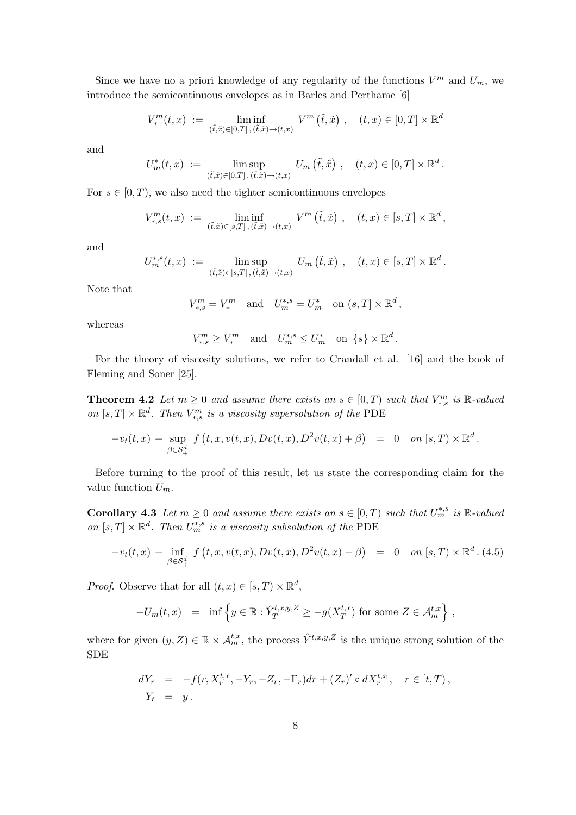Since we have no a priori knowledge of any regularity of the functions  $V^m$  and  $U_m$ , we introduce the semicontinuous envelopes as in Barles and Perthame [6]

$$
V^m_*(t,x) := \liminf_{(\tilde{t},\tilde{x}) \in [0,T], (\tilde{t},\tilde{x}) \to (t,x)} V^m(\tilde{t},\tilde{x}), \quad (t,x) \in [0,T] \times \mathbb{R}^d
$$

and

$$
U_m^*(t, x) := \limsup_{(\tilde{t}, \tilde{x}) \in [0,T], (\tilde{t}, \tilde{x}) \to (t,x)} U_m(\tilde{t}, \tilde{x}), \quad (t, x) \in [0, T] \times \mathbb{R}^d
$$

.

For  $s \in [0, T)$ , we also need the tighter semicontinuous envelopes

$$
V_{*,s}^m(t,x) := \liminf_{(\tilde{t},\tilde{x}) \in [s,T], (\tilde{t},\tilde{x}) \to (t,x)} V^m(\tilde{t},\tilde{x}), \quad (t,x) \in [s,T] \times \mathbb{R}^d,
$$

and

$$
U_m^{*,s}(t,x) := \limsup_{(\tilde{t},\tilde{x}) \in [s,T], (\tilde{t},\tilde{x}) \to (t,x)} U_m(\tilde{t},\tilde{x}), \quad (t,x) \in [s,T] \times \mathbb{R}^d.
$$

Note that

$$
V_{*,s}^m = V_*^m \quad \text{and} \quad U_{m}^{*,s} = U_m^* \quad \text{on } (s,T] \times \mathbb{R}^d \,,
$$

whereas

$$
V_{*,s}^m \ge V_*^m \quad \text{and} \quad U_m^{*,s} \le U_m^* \quad \text{on} \ \{s\} \times \mathbb{R}^d.
$$

For the theory of viscosity solutions, we refer to Crandall et al. [16] and the book of Fleming and Soner [25].

**Theorem 4.2** Let  $m \geq 0$  and assume there exists an  $s \in [0, T)$  such that  $V_{*,s}^{m}$  is  $\mathbb{R}\text{-}valued$ on  $[s, T] \times \mathbb{R}^d$ . Then  $V_{*,s}^m$  is a viscosity supersolution of the PDE

$$
-v_t(t,x) + \sup_{\beta \in \mathcal{S}_+^d} f(t,x,v(t,x),Dv(t,x),D^2v(t,x) + \beta) = 0 \text{ on } [s,T) \times \mathbb{R}^d.
$$

Before turning to the proof of this result, let us state the corresponding claim for the value function  $U_m$ .

**Corollary 4.3** Let  $m \geq 0$  and assume there exists an  $s \in [0, T)$  such that  $U_m^{*,s}$  is  $\mathbb{R}\text{-}valued$ on  $[s, T] \times \mathbb{R}^d$ . Then  $U_m^{*,s}$  is a viscosity subsolution of the PDE

$$
-v_t(t,x) + \inf_{\beta \in \mathcal{S}_+^d} f(t,x,v(t,x),Dv(t,x),D^2v(t,x)-\beta) = 0 \quad on [s,T) \times \mathbb{R}^d.
$$
 (4.5)

*Proof.* Observe that for all  $(t, x) \in [s, T) \times \mathbb{R}^d$ ,

$$
-U_m(t,x) = \inf \left\{ y \in \mathbb{R} : \hat{Y}_T^{t,x,y,Z} \ge -g(X_T^{t,x}) \text{ for some } Z \in \mathcal{A}_m^{t,x} \right\},\,
$$

where for given  $(y, Z) \in \mathbb{R} \times \mathcal{A}_m^{t,x}$ , the process  $\hat{Y}^{t,x,y,Z}$  is the unique strong solution of the SDE

$$
dY_r = -f(r, X_r^{t,x}, -Y_r, -Z_r, -\Gamma_r)dr + (Z_r)' \circ dX_r^{t,x}, \quad r \in [t, T),
$$
  
\n
$$
Y_t = y.
$$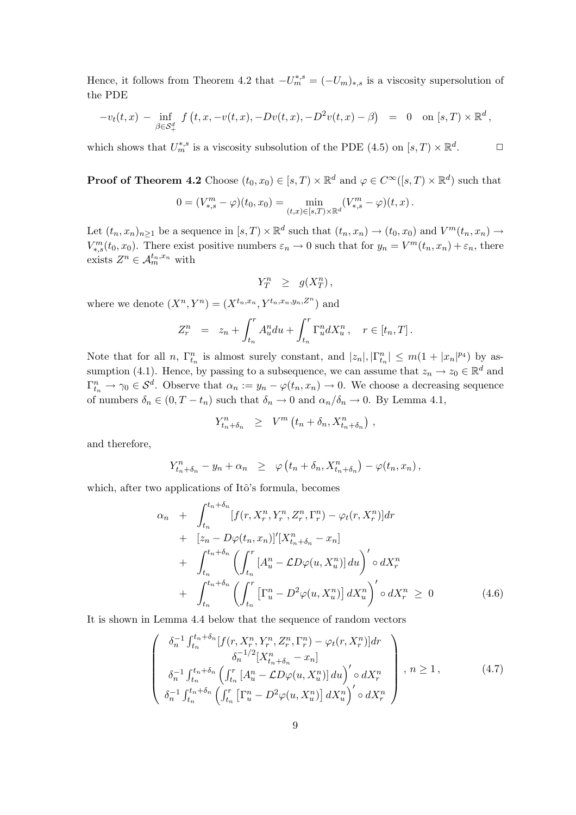Hence, it follows from Theorem 4.2 that  $-U_m^{*,s} = (-U_m)_{*,s}$  is a viscosity supersolution of the PDE

$$
-v_t(t,x) - \inf_{\beta \in \mathcal{S}_+^d} f(t,x,-v(t,x),-Dv(t,x),-D^2v(t,x)-\beta) = 0 \text{ on } [s,T) \times \mathbb{R}^d,
$$

which shows that  $U_m^{*,s}$  is a viscosity subsolution of the PDE (4.5) on  $[s,T) \times \mathbb{R}^d$  $\Box$ 

**Proof of Theorem 4.2** Choose  $(t_0, x_0) \in [s, T) \times \mathbb{R}^d$  and  $\varphi \in C^\infty([s, T) \times \mathbb{R}^d)$  such that

$$
0 = (V_{*,s}^m - \varphi)(t_0, x_0) = \min_{(t,x) \in [s,T) \times \mathbb{R}^d} (V_{*,s}^m - \varphi)(t, x).
$$

Let  $(t_n, x_n)_{n \geq 1}$  be a sequence in  $[s, T) \times \mathbb{R}^d$  such that  $(t_n, x_n) \to (t_0, x_0)$  and  $V^m(t_n, x_n) \to$  $V_{*,s}^m(t_0, x_0)$ . There exist positive numbers  $\varepsilon_n \to 0$  such that for  $y_n = V^m(t_n, x_n) + \varepsilon_n$ , there exists  $Z^n \in \mathcal{A}_m^{t_n,x_n}$  with

$$
Y_T^n \geq g(X_T^n),
$$

where we denote  $(X^n, Y^n) = (X^{t_n, x_n}, Y^{t_n, x_n, y_n, Z^n})$  and

$$
Z_r^n = z_n + \int_{t_n}^r A_u^n du + \int_{t_n}^r \Gamma_u^n dX_u^n, \quad r \in [t_n, T].
$$

Note that for all n,  $\Gamma_{t_n}^n$  is almost surely constant, and  $|z_n|, |\Gamma_{t_n}^n| \leq m(1+|x_n|^{p_4})$  by assumption (4.1). Hence, by passing to a subsequence, we can assume that  $z_n \to z_0 \in \mathbb{R}^d$  and  $\Gamma_{t_n}^n \to \gamma_0 \in S^d$ . Observe that  $\alpha_n := y_n - \varphi(t_n, x_n) \to 0$ . We choose a decreasing sequence of numbers  $\delta_n \in (0, T - t_n)$  such that  $\delta_n \to 0$  and  $\alpha_n/\delta_n \to 0$ . By Lemma 4.1,

$$
Y_{t_n+\delta_n}^n \geq V^m\left(t_n+\delta_n, X_{t_n+\delta_n}^n\right),
$$

and therefore,

$$
Y_{t_n+\delta_n}^n - y_n + \alpha_n \geq \varphi(t_n+\delta_n,X_{t_n+\delta_n}^n) - \varphi(t_n,x_n),
$$

which, after two applications of Itô's formula, becomes

 $\mathcal{L}$ 

$$
\alpha_n + \int_{t_n}^{t_n + \delta_n} [f(r, X_r^n, Y_r^n, Z_r^n, \Gamma_r^n) - \varphi_t(r, X_r^n)] dr \n+ [z_n - D\varphi(t_n, x_n)]'[X_{t_n + \delta_n}^n - x_n] \n+ \int_{t_n}^{t_n + \delta_n} \left( \int_{t_n}^r [A_u^n - \mathcal{L}D\varphi(u, X_u^n)] du \right)' \circ dX_r^n \n+ \int_{t_n}^{t_n + \delta_n} \left( \int_{t_n}^r \left[ \Gamma_u^n - D^2\varphi(u, X_u^n) \right] dX_u^n \right)' \circ dX_r^n \ge 0
$$
\n(4.6)

It is shown in Lemma 4.4 below that the sequence of random vectors

$$
\begin{pmatrix}\n\delta_n^{-1} \int_{t_n}^{t_n+\delta_n} [f(r, X_r^n, Y_r^n, Z_r^n, \Gamma_r^n) - \varphi_t(r, X_r^n)] dr \\
\delta_n^{-1} \int_{t_n}^{t_n+\delta_n} \left( \int_{t_n}^r [A_u^n - \mathcal{L}D\varphi(u, X_u^n)] du \right)' \circ dX_r^n \\
\delta_n^{-1} \int_{t_n}^{t_n+\delta_n} \left( \int_{t_n}^r \left[ \Gamma_u^n - D^2\varphi(u, X_u^n) \right] dX_u^n \right)' \circ dX_r^n\n\end{pmatrix}, n \ge 1,
$$
\n(4.7)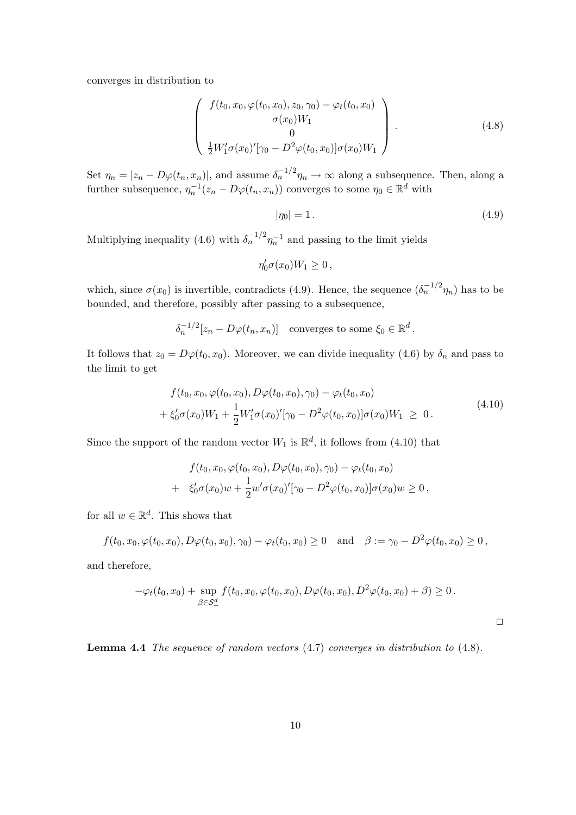converges in distribution to

$$
\begin{pmatrix}\nf(t_0, x_0, \varphi(t_0, x_0), z_0, \gamma_0) - \varphi_t(t_0, x_0) \\
\sigma(x_0)W_1 \\
0 \\
\frac{1}{2}W'_1\sigma(x_0)'[\gamma_0 - D^2\varphi(t_0, x_0)]\sigma(x_0)W_1\n\end{pmatrix}.
$$
\n(4.8)

Set  $\eta_n = |z_n - D\varphi(t_n, x_n)|$ , and assume  $\delta_n^{-1/2}\eta_n \to \infty$  along a subsequence. Then, along a further subsequence,  $\eta_n^{-1}(z_n - D\varphi(t_n, x_n))$  converges to some  $\eta_0 \in \mathbb{R}^d$  with

$$
|\eta_0| = 1. \tag{4.9}
$$

Multiplying inequality (4.6) with  $\delta_n^{-1/2} \eta_n^{-1}$  and passing to the limit yields

$$
\eta_0' \sigma(x_0) W_1 \ge 0 \,,
$$

which, since  $\sigma(x_0)$  is invertible, contradicts (4.9). Hence, the sequence  $(\delta_n^{-1/2}\eta_n)$  has to be bounded, and therefore, possibly after passing to a subsequence,

$$
\delta_n^{-1/2}[z_n - D\varphi(t_n, x_n)] \quad \text{converges to some } \xi_0 \in \mathbb{R}^d.
$$

It follows that  $z_0 = D\varphi(t_0, x_0)$ . Moreover, we can divide inequality (4.6) by  $\delta_n$  and pass to the limit to get

$$
f(t_0, x_0, \varphi(t_0, x_0), D\varphi(t_0, x_0), \gamma_0) - \varphi_t(t_0, x_0)
$$
  
+  $\xi'_0 \sigma(x_0)W_1 + \frac{1}{2}W'_1 \sigma(x_0)'[\gamma_0 - D^2 \varphi(t_0, x_0)] \sigma(x_0)W_1 \ge 0.$  (4.10)

Since the support of the random vector  $W_1$  is  $\mathbb{R}^d$ , it follows from (4.10) that

$$
f(t_0, x_0, \varphi(t_0, x_0), D\varphi(t_0, x_0), \gamma_0) - \varphi_t(t_0, x_0)
$$
  
+ 
$$
\xi'_0 \sigma(x_0) w + \frac{1}{2} w' \sigma(x_0)'[\gamma_0 - D^2 \varphi(t_0, x_0)] \sigma(x_0) w \ge 0,
$$

for all  $w \in \mathbb{R}^d$ . This shows that

$$
f(t_0, x_0, \varphi(t_0, x_0), D\varphi(t_0, x_0), \gamma_0) - \varphi_t(t_0, x_0) \ge 0
$$
 and  $\beta := \gamma_0 - D^2 \varphi(t_0, x_0) \ge 0$ ,

and therefore,

$$
-\varphi_t(t_0, x_0) + \sup_{\beta \in S_+^d} f(t_0, x_0, \varphi(t_0, x_0), D\varphi(t_0, x_0), D^2\varphi(t_0, x_0) + \beta) \ge 0.
$$

 $\Box$ 

Lemma 4.4 The sequence of random vectors (4.7) converges in distribution to (4.8).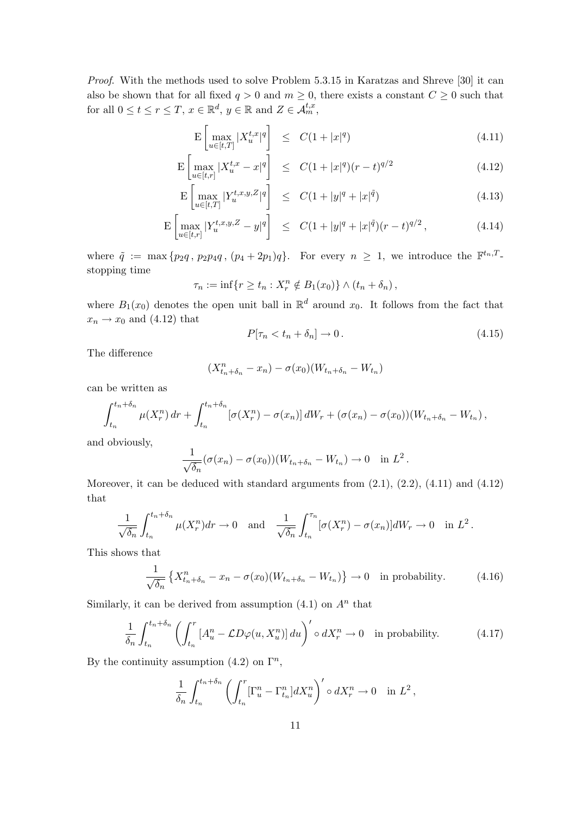Proof. With the methods used to solve Problem 5.3.15 in Karatzas and Shreve [30] it can also be shown that for all fixed  $q > 0$  and  $m \ge 0$ , there exists a constant  $C \ge 0$  such that for all  $0 \le t \le r \le T$ ,  $x \in \mathbb{R}^d$ ,  $y \in \mathbb{R}$  and  $Z \in \mathcal{A}_m^{t,x}$ ,

$$
\mathcal{E}\left[\max_{u\in[t,T]} |X_u^{t,x}|^q\right] \le C(1+|x|^q) \tag{4.11}
$$

$$
\mathcal{E}\left[\max_{u \in [t,r]} |X_u^{t,x} - x|^q\right] \le C(1+|x|^q)(r-t)^{q/2}
$$
\n(4.12)

$$
\mathcal{E}\left[\max_{u\in[t,T]}|Y_u^{t,x,y,Z}|^q\right] \leq C(1+|y|^q+|x|^{\tilde{q}})
$$
\n(4.13)

$$
\mathcal{E}\left[\max_{u\in[t,r]}|Y_u^{t,x,y,Z}-y|^q\right] \leq C(1+|y|^q+|x|^{\tilde{q}})(r-t)^{q/2},\tag{4.14}
$$

where  $\tilde{q} := \max\{p_2q, p_2pq, (p_4+2p_1)q\}.$  For every  $n \geq 1$ , we introduce the  $\mathbb{F}^{t_n,T}$ . stopping time

$$
\tau_n := \inf \{ r \ge t_n : X_r^n \notin B_1(x_0) \} \wedge (t_n + \delta_n),
$$

where  $B_1(x_0)$  denotes the open unit ball in  $\mathbb{R}^d$  around  $x_0$ . It follows from the fact that  $x_n \rightarrow x_0$  and (4.12) that

$$
P[\tau_n < t_n + \delta_n] \to 0. \tag{4.15}
$$

The difference

$$
(X_{t_n+\delta_n}^n-x_n)-\sigma(x_0)(W_{t_n+\delta_n}-W_{t_n})
$$

can be written as

$$
\int_{t_n}^{t_n+\delta_n} \mu(X_r^n) dr + \int_{t_n}^{t_n+\delta_n} \left[\sigma(X_r^n) - \sigma(x_n)\right] dW_r + (\sigma(x_n) - \sigma(x_0))(W_{t_n+\delta_n} - W_{t_n}),
$$

and obviously,

$$
\frac{1}{\sqrt{\delta_n}}(\sigma(x_n)-\sigma(x_0))(W_{t_n+\delta_n}-W_{t_n})\to 0 \text{ in } L^2.
$$

Moreover, it can be deduced with standard arguments from  $(2.1)$ ,  $(2.2)$ ,  $(4.11)$  and  $(4.12)$ that

$$
\frac{1}{\sqrt{\delta_n}} \int_{t_n}^{t_n+\delta_n} \mu(X_r^n) dr \to 0 \quad \text{and} \quad \frac{1}{\sqrt{\delta_n}} \int_{t_n}^{\tau_n} [\sigma(X_r^n) - \sigma(x_n)] dW_r \to 0 \quad \text{in } L^2.
$$

This shows that

$$
\frac{1}{\sqrt{\delta_n}}\left\{X_{t_n+\delta_n}^n - x_n - \sigma(x_0)(W_{t_n+\delta_n} - W_{t_n})\right\} \to 0 \quad \text{in probability.} \tag{4.16}
$$

Similarly, it can be derived from assumption  $(4.1)$  on  $A<sup>n</sup>$  that

$$
\frac{1}{\delta_n} \int_{t_n}^{t_n + \delta_n} \left( \int_{t_n}^r \left[ A_u^n - \mathcal{L} D\varphi(u, X_u^n) \right] du \right)' \circ dX_r^n \to 0 \quad \text{in probability.} \tag{4.17}
$$

By the continuity assumption (4.2) on  $\Gamma^n$ ,

$$
\frac{1}{\delta_n} \int_{t_n}^{t_n + \delta_n} \left( \int_{t_n}^r [\Gamma_u^n - \Gamma_{t_n}^n] dX_u^n \right)' \circ dX_r^n \to 0 \quad \text{in } L^2,
$$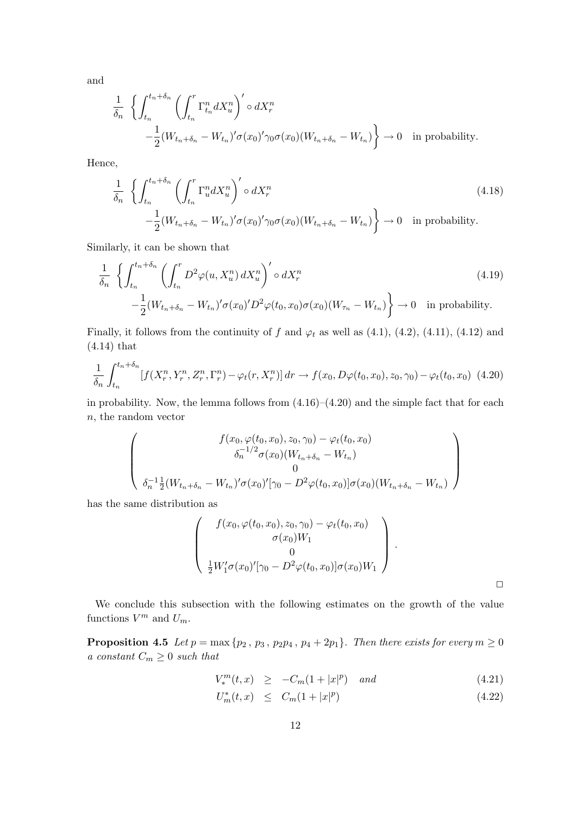and

$$
\frac{1}{\delta_n} \left\{ \int_{t_n}^{t_n + \delta_n} \left( \int_{t_n}^r \Gamma_{t_n}^n dX_u^n \right)' \circ dX_r^n - \frac{1}{2} (W_{t_n + \delta_n} - W_{t_n})' \sigma(x_0)' \gamma_0 \sigma(x_0) (W_{t_n + \delta_n} - W_{t_n}) \right\} \to 0 \quad \text{in probability.}
$$

Hence,

$$
\frac{1}{\delta_n} \left\{ \int_{t_n}^{t_n + \delta_n} \left( \int_{t_n}^r \Gamma_u^n dX_u^n \right)' \circ dX_r^n \right\} \left| \int_{-\frac{1}{2}}^{\infty} (W_{t_n + \delta_n} - W_{t_n})' \sigma(x_0)' \gamma_0 \sigma(x_0) (W_{t_n + \delta_n} - W_{t_n}) \right\} \to 0 \quad \text{in probability.}
$$
\n
$$
(4.18)
$$

Similarly, it can be shown that

$$
\frac{1}{\delta_n} \left\{ \int_{t_n}^{t_n+\delta_n} \left( \int_{t_n}^r D^2 \varphi(u, X_u^n) dX_u^n \right)' \circ dX_r^n - \frac{1}{2} (W_{t_n+\delta_n} - W_{t_n})' \sigma(x_0)' D^2 \varphi(t_0, x_0) \sigma(x_0) (W_{\tau_n} - W_{t_n}) \right\} \to 0 \quad \text{in probability.}
$$
\n(4.19)

Finally, it follows from the continuity of f and  $\varphi_t$  as well as (4.1), (4.2), (4.11), (4.12) and (4.14) that

$$
\frac{1}{\delta_n} \int_{t_n}^{t_n + \delta_n} [f(X_r^n, Y_r^n, Z_r^n, \Gamma_r^n) - \varphi_t(r, X_r^n)] \, dr \to f(x_0, D\varphi(t_0, x_0), z_0, \gamma_0) - \varphi_t(t_0, x_0) \tag{4.20}
$$

in probability. Now, the lemma follows from  $(4.16)$ – $(4.20)$  and the simple fact that for each n, the random vector

$$
\begin{pmatrix}\nf(x_0, \varphi(t_0, x_0), z_0, \gamma_0) - \varphi_t(t_0, x_0) \\
\delta_n^{-1/2} \sigma(x_0) (W_{t_n + \delta_n} - W_{t_n})\n\end{pmatrix}
$$
\n
$$
\delta_n^{-1} \frac{1}{2} (W_{t_n + \delta_n} - W_{t_n})' \sigma(x_0)'[\gamma_0 - D^2 \varphi(t_0, x_0)] \sigma(x_0) (W_{t_n + \delta_n} - W_{t_n})
$$

has the same distribution as

$$
\begin{pmatrix}\nf(x_0, \varphi(t_0, x_0), z_0, \gamma_0) - \varphi_t(t_0, x_0) \\
\sigma(x_0)W_1 \\
0 \\
\frac{1}{2}W_1'\sigma(x_0)'[\gamma_0 - D^2\varphi(t_0, x_0)]\sigma(x_0)W_1\n\end{pmatrix}.
$$

We conclude this subsection with the following estimates on the growth of the value functions  $V^m$  and  $U_m$ .

**Proposition 4.5** Let  $p = max\{p_2, p_3, p_2p_4, p_4 + 2p_1\}$ . Then there exists for every  $m \ge 0$ a constant  $C_m \geq 0$  such that

$$
V_*^m(t, x) \ge -C_m(1+|x|^p) \quad and \tag{4.21}
$$

$$
U_m^*(t, x) \le C_m(1+|x|^p) \tag{4.22}
$$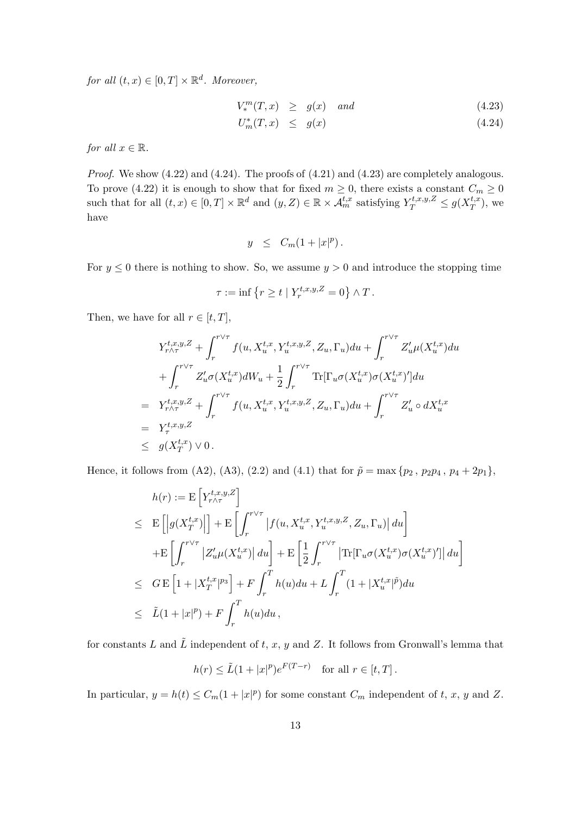for all  $(t, x) \in [0, T] \times \mathbb{R}^d$ . Moreover,

$$
V_*^m(T, x) \ge g(x) \quad and \tag{4.23}
$$

$$
U_m^*(T, x) \le g(x) \tag{4.24}
$$

for all  $x \in \mathbb{R}$ .

Proof. We show (4.22) and (4.24). The proofs of (4.21) and (4.23) are completely analogous. To prove (4.22) it is enough to show that for fixed  $m \geq 0$ , there exists a constant  $C_m \geq 0$ such that for all  $(t, x) \in [0, T] \times \mathbb{R}^d$  and  $(y, Z) \in \mathbb{R} \times \mathcal{A}_m^{t,x}$  satisfying  $Y_T^{t,x,y,Z} \leq g(X_T^{t,x} \times \mathcal{A}_T^{t,x} \times \mathcal{A}_T^{t,x} \times \mathcal{A}_T^{t,x}$  $_{T}^{t,x}$ ), we have

$$
y \leq C_m(1+|x|^p).
$$

For  $y \leq 0$  there is nothing to show. So, we assume  $y > 0$  and introduce the stopping time

$$
\tau := \inf \left\{ r \ge t \mid Y_r^{t,x,y,Z} = 0 \right\} \wedge T.
$$

Then, we have for all  $r \in [t, T]$ ,

$$
Y_{r\wedge\tau}^{t,x,y,Z} + \int_{r}^{r\vee\tau} f(u, X_{u}^{t,x}, Y_{u}^{t,x,y,Z}, Z_{u}, \Gamma_{u}) du + \int_{r}^{r\vee\tau} Z_{u}'\mu(X_{u}^{t,x}) du + \int_{r}^{r\vee\tau} Z_{u}'\sigma(X_{u}^{t,x}) dW_{u} + \frac{1}{2} \int_{r}^{r\vee\tau} \text{Tr}[\Gamma_{u}\sigma(X_{u}^{t,x})\sigma(X_{u}^{t,x})'] du = Y_{r\wedge\tau}^{t,x,y,Z} + \int_{r}^{r\vee\tau} f(u, X_{u}^{t,x}, Y_{u}^{t,x,y,Z}, Z_{u}, \Gamma_{u}) du + \int_{r}^{r\vee\tau} Z_{u}' \circ dX_{u}^{t,x} = Y_{\tau}^{t,x,y,Z} \leq g(X_{T}^{t,x}) \vee 0.
$$

Hence, it follows from (A2), (A3), (2.2) and (4.1) that for  $\tilde{p} = \max\{p_2, p_2p_4, p_4 + 2p_1\}$ ,

$$
h(r) := \mathcal{E}\left[Y_{r\wedge\tau}^{t,x,y,Z}\right]
$$
  
\n
$$
\leq \mathcal{E}\left[\left|g(X_T^{t,x})\right|\right] + \mathcal{E}\left[\int_r^{r\vee\tau} \left|f(u,X_u^{t,x},Y_u^{t,x,y,Z},Z_u,\Gamma_u)\right|du\right]
$$
  
\n
$$
+ \mathcal{E}\left[\int_r^{r\vee\tau} \left|Z_u'\mu(X_u^{t,x})\right|du\right] + \mathcal{E}\left[\frac{1}{2}\int_r^{r\vee\tau} \left|\text{Tr}[\Gamma_u\sigma(X_u^{t,x})\sigma(X_u^{t,x})']\right|du\right]
$$
  
\n
$$
\leq \mathcal{G}\mathcal{E}\left[1 + |X_T^{t,x}|^{p_3}\right] + \mathcal{F}\int_r^T h(u)du + L\int_r^T (1 + |X_u^{t,x}|^{\tilde{p}})du
$$
  
\n
$$
\leq \tilde{L}(1 + |x|^p) + \mathcal{F}\int_r^T h(u)du,
$$

for constants L and  $\tilde{L}$  independent of t, x, y and Z. It follows from Gronwall's lemma that

$$
h(r) \le \tilde{L}(1+|x|^p)e^{F(T-r)} \quad \text{for all } r \in [t,T].
$$

In particular,  $y = h(t) \leq C_m(1+|x|^p)$  for some constant  $C_m$  independent of t, x, y and Z.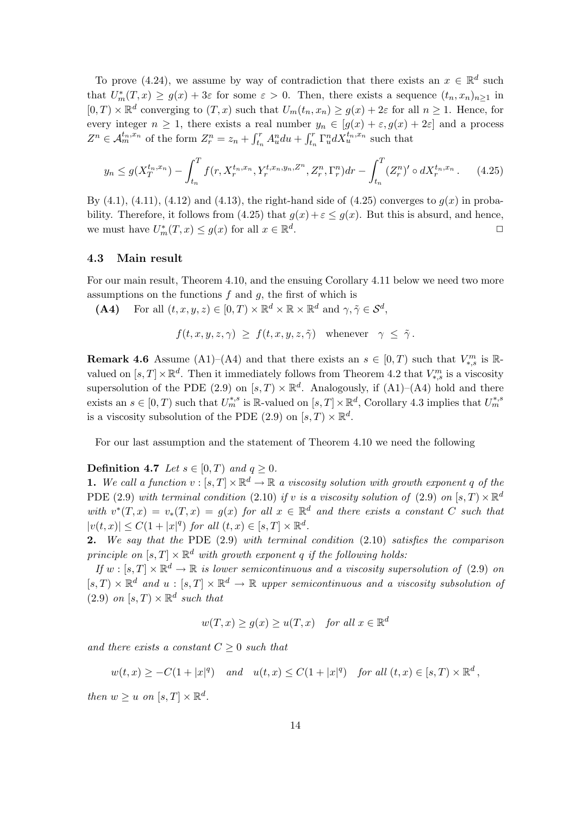To prove (4.24), we assume by way of contradiction that there exists an  $x \in \mathbb{R}^d$  such that  $U_m^*(T,x) \ge g(x) + 3\varepsilon$  for some  $\varepsilon > 0$ . Then, there exists a sequence  $(t_n, x_n)_{n \ge 1}$  in  $[0, T) \times \mathbb{R}^d$  converging to  $(T, x)$  such that  $U_m(t_n, x_n) \ge g(x) + 2\varepsilon$  for all  $n \ge 1$ . Hence, for every integer  $n \geq 1$ , there exists a real number  $y_n \in [g(x) + \varepsilon, g(x) + 2\varepsilon]$  and a process  $Z^n \in \mathcal{A}_m^{t_n,x_n}$  of the form  $Z_r^n = z_n +$  $\frac{1}{r}$  $\int_{t_n}^r A_u^n du +$  $\frac{1}{r}$  $\int_{t_n}^{t} \Gamma_u^n dX_u^{t_n,x_n}$  such that

$$
y_n \le g(X_T^{t_n, x_n}) - \int_{t_n}^T f(r, X_r^{t_n, x_n}, Y_r^{t, x_n, y_n, Z^n}, Z_r^n, \Gamma_r^n) dr - \int_{t_n}^T (Z_r^n)' \circ dX_r^{t_n, x_n} \,. \tag{4.25}
$$

By  $(4.1)$ ,  $(4.11)$ ,  $(4.12)$  and  $(4.13)$ , the right-hand side of  $(4.25)$  converges to  $g(x)$  in probability. Therefore, it follows from (4.25) that  $g(x) + \varepsilon \le g(x)$ . But this is absurd, and hence, we must have  $U_m^*(T, x) \le g(x)$  for all  $x \in \mathbb{R}^d$ . The contract of the contract of  $\Box$ 

## 4.3 Main result

For our main result, Theorem 4.10, and the ensuing Corollary 4.11 below we need two more assumptions on the functions  $f$  and  $g$ , the first of which is

(A4) For all  $(t, x, y, z) \in [0, T) \times \mathbb{R}^d \times \mathbb{R} \times \mathbb{R}^d$  and  $\gamma, \tilde{\gamma} \in \mathcal{S}^d$ ,

$$
f(t, x, y, z, \gamma) \geq f(t, x, y, z, \tilde{\gamma})
$$
 whenever  $\gamma \leq \tilde{\gamma}$ .

**Remark 4.6** Assume (A1)–(A4) and that there exists an  $s \in [0, T)$  such that  $V_{*,s}^m$  is Rvalued on  $[s, T] \times \mathbb{R}^d$ . Then it immediately follows from Theorem 4.2 that  $V_{*,s}^m$  is a viscosity supersolution of the PDE (2.9) on  $[s, T) \times \mathbb{R}^d$ . Analogously, if (A1)–(A4) hold and there exists an  $s \in [0, T)$  such that  $U_m^{*,s}$  is R-valued on  $[s, T] \times \mathbb{R}^d$ , Corollary 4.3 implies that  $U_m^{*,s}$ is a viscosity subsolution of the PDE (2.9) on  $[s, T] \times \mathbb{R}^d$ .

For our last assumption and the statement of Theorem 4.10 we need the following

# **Definition 4.7** Let  $s \in [0, T)$  and  $q \ge 0$ .

**1.** We call a function  $v : [s, T] \times \mathbb{R}^d \to \mathbb{R}$  a viscosity solution with growth exponent q of the PDE (2.9) with terminal condition (2.10) if v is a viscosity solution of (2.9) on  $[s, T) \times \mathbb{R}^d$ with  $v^*(T,x) = v_*(T,x) = g(x)$  for all  $x \in \mathbb{R}^d$  and there exists a constant C such that  $|v(t,x)| \leq C(1+|x|^q)$  for all  $(t,x) \in [s,T] \times \mathbb{R}^d$ .

2. We say that the PDE  $(2.9)$  with terminal condition  $(2.10)$  satisfies the comparison principle on  $[s, T] \times \mathbb{R}^d$  with growth exponent q if the following holds:

If  $w : [s, T] \times \mathbb{R}^d \to \mathbb{R}$  is lower semicontinuous and a viscosity supersolution of (2.9) on  $[s, T] \times \mathbb{R}^d$  and  $u : [s, T] \times \mathbb{R}^d \to \mathbb{R}$  upper semicontinuous and a viscosity subsolution of  $(2.9)$  on  $[s, T) \times \mathbb{R}^d$  such that

$$
w(T, x) \ge g(x) \ge u(T, x) \quad for all x \in \mathbb{R}^d
$$

and there exists a constant  $C \geq 0$  such that

$$
w(t,x) \geq -C(1+|x|^q)
$$
 and  $u(t,x) \leq C(1+|x|^q)$  for all  $(t,x) \in [s,T) \times \mathbb{R}^d$ ,

then  $w \geq u$  on  $[s, T] \times \mathbb{R}^d$ .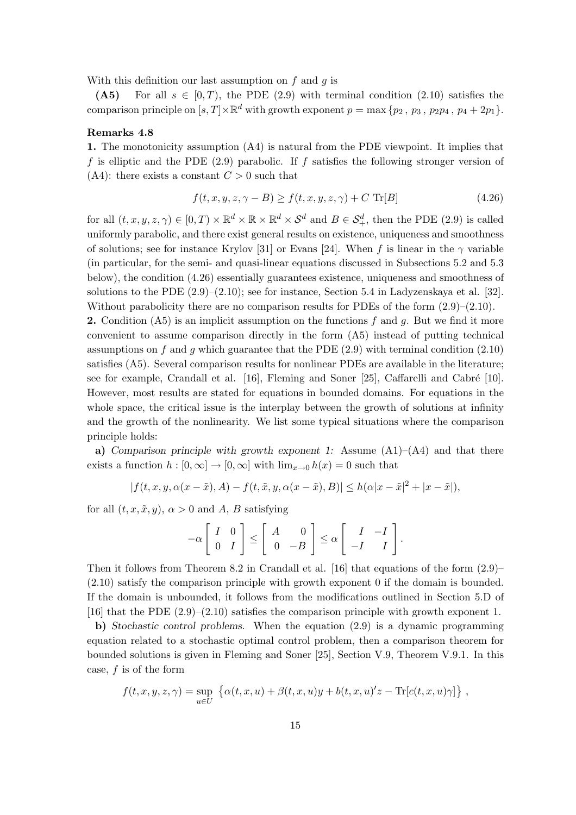With this definition our last assumption on  $f$  and  $q$  is

(A5) For all  $s \in [0, T)$ , the PDE (2.9) with terminal condition (2.10) satisfies the comparison principle on  $[s, T] \times \mathbb{R}^d$  with growth exponent  $p = \max \{p_2, p_3, p_2p_4, p_4 + 2p_1\}.$ 

## Remarks 4.8

1. The monotonicity assumption (A4) is natural from the PDE viewpoint. It implies that f is elliptic and the PDE  $(2.9)$  parabolic. If f satisfies the following stronger version of  $(A4)$ : there exists a constant  $C > 0$  such that

$$
f(t, x, y, z, \gamma - B) \ge f(t, x, y, z, \gamma) + C \operatorname{Tr}[B]
$$
\n(4.26)

for all  $(t, x, y, z, \gamma) \in [0, T) \times \mathbb{R}^d \times \mathbb{R} \times \mathbb{R}^d \times S^d$  and  $B \in S^d_+$ , then the PDE (2.9) is called uniformly parabolic, and there exist general results on existence, uniqueness and smoothness of solutions; see for instance Krylov [31] or Evans [24]. When f is linear in the  $\gamma$  variable (in particular, for the semi- and quasi-linear equations discussed in Subsections 5.2 and 5.3 below), the condition (4.26) essentially guarantees existence, uniqueness and smoothness of solutions to the PDE  $(2.9)$ – $(2.10)$ ; see for instance, Section 5.4 in Ladyzenskaya et al. [32]. Without parabolicity there are no comparison results for PDEs of the form  $(2.9)$ – $(2.10)$ .

**2.** Condition (A5) is an implicit assumption on the functions f and g. But we find it more convenient to assume comparison directly in the form (A5) instead of putting technical assumptions on f and g which guarantee that the PDE  $(2.9)$  with terminal condition  $(2.10)$ satisfies (A5). Several comparison results for nonlinear PDEs are available in the literature; see for example, Crandall et al.  $[16]$ , Fleming and Soner [25], Caffarelli and Cabré [10]. However, most results are stated for equations in bounded domains. For equations in the whole space, the critical issue is the interplay between the growth of solutions at infinity and the growth of the nonlinearity. We list some typical situations where the comparison principle holds:

a) Comparison principle with growth exponent 1: Assume  $(A1)$ – $(A4)$  and that there exists a function  $h : [0, \infty] \to [0, \infty]$  with  $\lim_{x\to 0} h(x) = 0$  such that

$$
|f(t,x,y,\alpha(x-\tilde{x}),A)-f(t,\tilde{x},y,\alpha(x-\tilde{x}),B)|\leq h(\alpha|x-\tilde{x}|^2+|x-\tilde{x}|),
$$

for all  $(t, x, \tilde{x}, y)$ ,  $\alpha > 0$  and A, B satisfying

$$
-\alpha \left[ \begin{array}{cc} I & 0 \\ 0 & I \end{array} \right] \le \left[ \begin{array}{cc} A & 0 \\ 0 & -B \end{array} \right] \le \alpha \left[ \begin{array}{cc} I & -I \\ -I & I \end{array} \right].
$$

Then it follows from Theorem 8.2 in Crandall et al. [16] that equations of the form (2.9)– (2.10) satisfy the comparison principle with growth exponent 0 if the domain is bounded. If the domain is unbounded, it follows from the modifications outlined in Section 5.D of [16] that the PDE (2.9)–(2.10) satisfies the comparison principle with growth exponent 1.

b) Stochastic control problems. When the equation (2.9) is a dynamic programming equation related to a stochastic optimal control problem, then a comparison theorem for bounded solutions is given in Fleming and Soner [25], Section V.9, Theorem V.9.1. In this case,  $f$  is of the form

$$
f(t, x, y, z, \gamma) = \sup_{u \in U} \left\{ \alpha(t, x, u) + \beta(t, x, u)y + b(t, x, u)'z - \text{Tr}[c(t, x, u)\gamma] \right\},\,
$$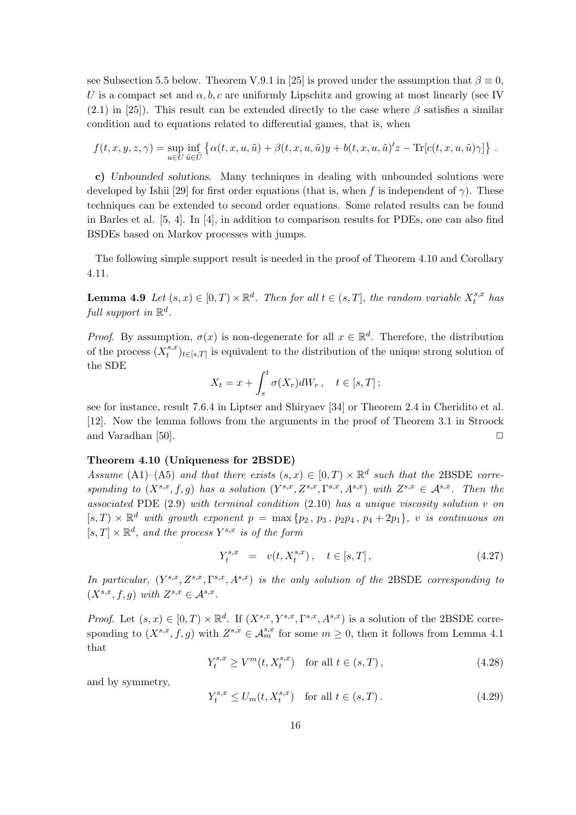see Subsection 5.5 below. Theorem V.9.1 in [25] is proved under the assumption that  $\beta \equiv 0$ , U is a compact set and  $\alpha, b, c$  are uniformly Lipschitz and growing at most linearly (see IV)  $(2.1)$  in [25]). This result can be extended directly to the case where  $\beta$  satisfies a similar condition and to equations related to differential games, that is, when

$$
f(t, x, y, z, \gamma) = \sup_{u \in U} \inf_{\tilde{u} \in \tilde{U}} \left\{ \alpha(t, x, u, \tilde{u}) + \beta(t, x, u, \tilde{u})y + b(t, x, u, \tilde{u})'z - \text{Tr}[c(t, x, u, \tilde{u})\gamma] \right\}.
$$

c) Unbounded solutions. Many techniques in dealing with unbounded solutions were developed by Ishii [29] for first order equations (that is, when f is independent of  $\gamma$ ). These techniques can be extended to second order equations. Some related results can be found in Barles et al. [5, 4]. In [4], in addition to comparison results for PDEs, one can also find BSDEs based on Markov processes with jumps.

The following simple support result is needed in the proof of Theorem 4.10 and Corollary 4.11.

**Lemma 4.9** Let  $(s, x) \in [0, T) \times \mathbb{R}^d$ . Then for all  $t \in (s, T]$ , the random variable  $X_t^{s,x}$  $_{t}^{s,x}$  has full support in  $\mathbb{R}^d$ .

*Proof.* By assumption,  $\sigma(x)$  is non-degenerate for all  $x \in \mathbb{R}^d$ . Therefore, the distribution of the process  $(X_t^{s,x})$  $(t_t^{s,x})_{t\in [s,T]}$  is equivalent to the distribution of the unique strong solution of the SDE  $rt$ 

$$
X_t = x + \int_s^t \sigma(X_r) dW_r, \quad t \in [s, T];
$$

see for instance, result 7.6.4 in Liptser and Shiryaev [34] or Theorem 2.4 in Cheridito et al. [12]. Now the lemma follows from the arguments in the proof of Theorem 3.1 in Stroock and Varadhan [50].  $\Box$ 

## Theorem 4.10 (Uniqueness for 2BSDE)

Assume (A1)–(A5) and that there exists  $(s, x) \in [0, T) \times \mathbb{R}^d$  such that the 2BSDE corresponding to  $(X^{s,x}, f, g)$  has a solution  $(Y^{s,x}, Z^{s,x}, \Gamma^{s,x}, A^{s,x})$  with  $Z^{s,x} \in A^{s,x}$ . Then the associated PDE  $(2.9)$  with terminal condition  $(2.10)$  has a unique viscosity solution v on  $[s, T] \times \mathbb{R}^d$  with growth exponent  $p = \max\{p_2, p_3, p_2p_4, p_4+2p_1\}$ , v is continuous on  $[s, T] \times \mathbb{R}^d$ , and the process  $Y^{s,x}$  is of the form

$$
Y_t^{s,x} = v(t, X_t^{s,x}), \quad t \in [s, T], \tag{4.27}
$$

In particular,  $(Y^{s,x}, Z^{s,x}, \Gamma^{s,x}, A^{s,x})$  is the only solution of the 2BSDE corresponding to  $(X^{s,x}, f, g)$  with  $Z^{s,x} \in \mathcal{A}^{s,x}$ .

*Proof.* Let  $(s, x) \in [0, T) \times \mathbb{R}^d$ . If  $(X^{s,x}, Y^{s,x}, \Gamma^{s,x}, A^{s,x})$  is a solution of the 2BSDE corresponding to  $(X^{s,x}, f, g)$  with  $Z^{s,x} \in \mathcal{A}_m^{s,x}$  for some  $m \geq 0$ , then it follows from Lemma 4.1 that

$$
Y_t^{s,x} \ge V^m(t, X_t^{s,x}) \quad \text{for all } t \in (s, T), \tag{4.28}
$$

and by symmetry,

$$
Y_t^{s,x} \le U_m(t, X_t^{s,x}) \quad \text{for all } t \in (s, T). \tag{4.29}
$$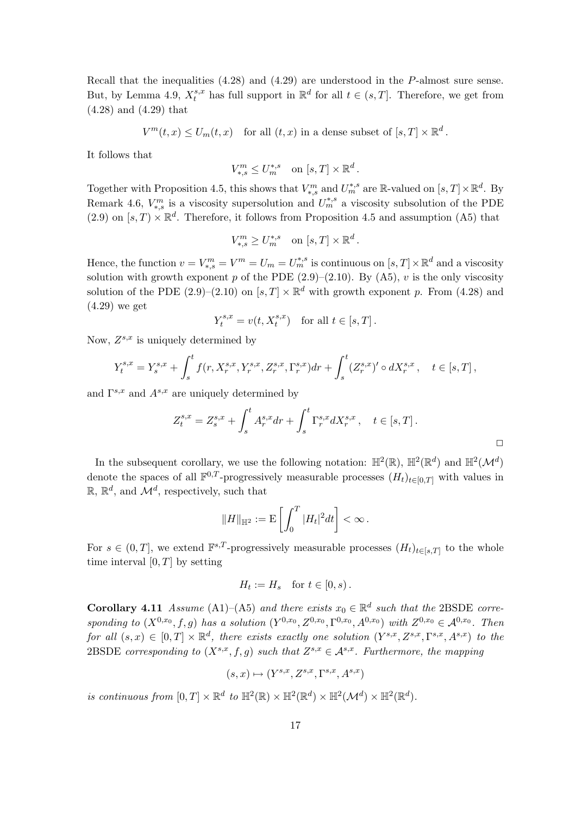Recall that the inequalities (4.28) and (4.29) are understood in the P-almost sure sense. But, by Lemma 4.9,  $X_t^{s,x}$  has full support in  $\mathbb{R}^d$  for all  $t \in (s,T]$ . Therefore, we get from (4.28) and (4.29) that

 $V^m(t,x) \leq U_m(t,x)$  for all  $(t,x)$  in a dense subset of  $[s,T] \times \mathbb{R}^d$ .

It follows that

$$
V_{*,s}^m \le U_m^{*,s} \quad \text{on } [s,T] \times \mathbb{R}^d
$$

.

Together with Proposition 4.5, this shows that  $V_{*,s}^m$  and  $U_m^{*,s}$  are R-valued on  $[s,T] \times \mathbb{R}^d$ . By Remark 4.6,  $V_{*,s}^m$  is a viscosity supersolution and  $U_m^{*,s}$  a viscosity subsolution of the PDE  $(2.9)$  on  $[s, T] \times \mathbb{R}^d$ . Therefore, it follows from Proposition 4.5 and assumption (A5) that

$$
V_{*,s}^m \ge U_m^{*,s} \quad \text{on } [s,T] \times \mathbb{R}^d \, .
$$

Hence, the function  $v = V_{*,s}^m = V^m = U_m = U_m^{*,s}$  is continuous on  $[s,T] \times \mathbb{R}^d$  and a viscosity solution with growth exponent p of the PDE  $(2.9)$ – $(2.10)$ . By  $(A5)$ , v is the only viscosity solution of the PDE (2.9)–(2.10) on  $[s, T] \times \mathbb{R}^d$  with growth exponent p. From (4.28) and (4.29) we get

$$
Y_t^{s,x} = v(t, X_t^{s,x}) \quad \text{for all } t \in [s, T].
$$

Now,  $Z^{s,x}$  is uniquely determined by

$$
Y^{s,x}_t = Y^{s,x}_s + \int_s^t f(r,X^{s,x}_r,Y^{s,x}_r,Z^{s,x}_r,\Gamma^{s,x}_r)dr + \int_s^t (Z^{s,x}_r)' \circ dX^{s,x}_r\,, \quad t\in [s,T]\,,
$$

and  $\Gamma^{s,x}$  and  $A^{s,x}$  are uniquely determined by

$$
Z_t^{s,x} = Z_s^{s,x} + \int_s^t A_r^{s,x} dr + \int_s^t \Gamma_r^{s,x} dX_r^{s,x} , \quad t \in [s,T].
$$

In the subsequent corollary, we use the following notation:  $\mathbb{H}^2(\mathbb{R})$ ,  $\mathbb{H}^2(\mathbb{R}^d)$  and  $\mathbb{H}^2(\mathcal{M}^d)$ denote the spaces of all  $\mathbb{F}^{0,T}$ -progressively measurable processes  $(H_t)_{t\in[0,T]}$  with values in  $\mathbb{R}, \mathbb{R}^d$ , and  $\mathcal{M}^d$ , respectively, such that

$$
\|H\|_{\mathbb{H}^2}:=\mathbf{E}\left[\int_0^T |H_t|^2 dt\right]<\infty\,.
$$

For  $s \in (0,T]$ , we extend  $\mathbb{F}^{s,T}$ -progressively measurable processes  $(H_t)_{t \in [s,T]}$  to the whole time interval  $[0, T]$  by setting

$$
H_t := H_s \quad \text{for } t \in [0, s) \, .
$$

**Corollary 4.11** Assume (A1)–(A5) and there exists  $x_0 \in \mathbb{R}^d$  such that the 2BSDE corresponding to  $(X^{0,x_0}, f, g)$  has a solution  $(Y^{0,x_0}, Z^{0,x_0}, \Gamma^{0,x_0}, A^{0,x_0})$  with  $Z^{0,x_0} \in \mathcal{A}^{0,x_0}$ . Then for all  $(s, x) \in [0, T] \times \mathbb{R}^d$ , there exists exactly one solution  $(Y^{s,x}, Z^{s,x}, \Gamma^{s,x}, A^{s,x})$  to the 2BSDE corresponding to  $(X^{s,x}, f, g)$  such that  $Z^{s,x} \in \mathcal{A}^{s,x}$ . Furthermore, the mapping

$$
(s, x) \mapsto (Y^{s,x}, Z^{s,x}, \Gamma^{s,x}, A^{s,x})
$$

is continuous from  $[0, T] \times \mathbb{R}^d$  to  $\mathbb{H}^2(\mathbb{R}) \times \mathbb{H}^2(\mathbb{R}^d) \times \mathbb{H}^2(\mathcal{M}^d) \times \mathbb{H}^2(\mathbb{R}^d)$ .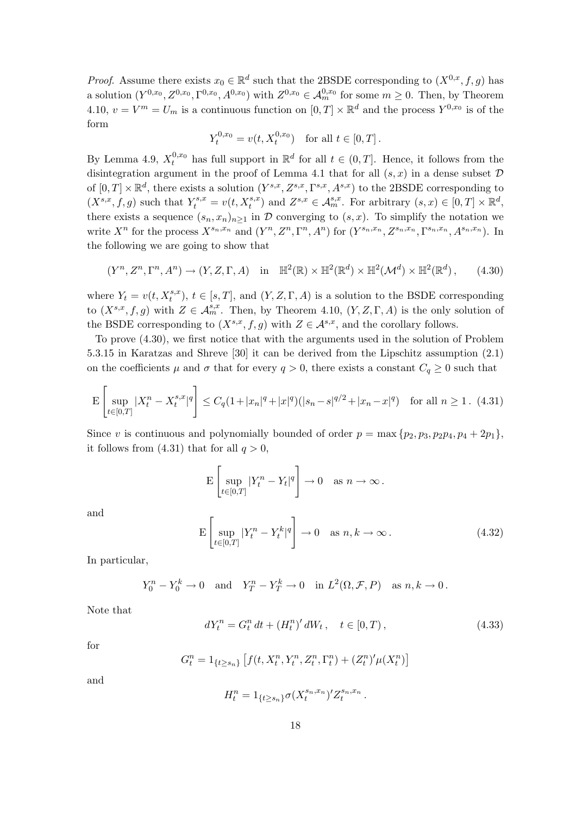*Proof.* Assume there exists  $x_0 \in \mathbb{R}^d$  such that the 2BSDE corresponding to  $(X^{0,x}, f, g)$  has a solution  $(Y^{0,x_0}, Z^{0,x_0}, \Gamma^{0,x_0}, A^{0,x_0})$  with  $Z^{0,x_0} \in \mathcal{A}_{m}^{0,x_0}$  for some  $m \geq 0$ . Then, by Theorem 4.10,  $v = V^m = U_m$  is a continuous function on  $[0, T] \times \mathbb{R}^d$  and the process  $Y^{0,x_0}$  is of the form

$$
Y_t^{0,x_0} = v(t, X_t^{0,x_0}) \text{ for all } t \in [0,T].
$$

By Lemma 4.9,  $X_t^{0,x_0}$  has full support in  $\mathbb{R}^d$  for all  $t \in (0,T]$ . Hence, it follows from the disintegration argument in the proof of Lemma 4.1 that for all  $(s, x)$  in a dense subset  $D$ of  $[0,T] \times \mathbb{R}^d$ , there exists a solution  $(Y^{s,x}, Z^{s,x}, \Gamma^{s,x}, A^{s,x})$  to the 2BSDE corresponding to  $(X^{s,x}, f, g)$  such that  $Y_t^{s,x} = v(t, X_t^{s,x})$  and  $Z^{s,x} \in \mathcal{A}_m^{s,x}$ . For arbitrary  $(s, x) \in [0, T] \times \mathbb{R}^d$ , there exists a sequence  $(s_n, x_n)_{n>1}$  in D converging to  $(s, x)$ . To simplify the notation we write  $X^n$  for the process  $X^{s_n,x_n}$  and  $(Y^n, Z^n, \Gamma^n, A^n)$  for  $(Y^{s_n,x_n}, Z^{s_n,x_n}, \Gamma^{s_n,x_n}, A^{s_n,x_n})$ . In the following we are going to show that

$$
(Y^n, Z^n, \Gamma^n, A^n) \to (Y, Z, \Gamma, A) \quad \text{in} \quad \mathbb{H}^2(\mathbb{R}) \times \mathbb{H}^2(\mathbb{R}^d) \times \mathbb{H}^2(\mathcal{M}^d) \times \mathbb{H}^2(\mathbb{R}^d), \tag{4.30}
$$

where  $Y_t = v(t, X_t^{s,x})$ ,  $t \in [s, T]$ , and  $(Y, Z, \Gamma, A)$  is a solution to the BSDE corresponding to  $(X^{s,x}, f, g)$  with  $Z \in \mathcal{A}_{m}^{s,x}$ . Then, by Theorem 4.10,  $(Y, Z, \Gamma, A)$  is the only solution of the BSDE corresponding to  $(X^{s,x}, f, g)$  with  $Z \in \mathcal{A}^{s,x}$ , and the corollary follows.

To prove (4.30), we first notice that with the arguments used in the solution of Problem 5.3.15 in Karatzas and Shreve [30] it can be derived from the Lipschitz assumption (2.1) on the coefficients  $\mu$  and  $\sigma$  that for every  $q > 0$ , there exists a constant  $C_q \geq 0$  such that

$$
\mathcal{E}\left[\sup_{t\in[0,T]}|X_t^n - X_t^{s,x}|^q\right] \le C_q(1+|x_n|^q+|x|^q)(|s_n-s|^{q/2}+|x_n-x|^q) \quad \text{for all } n \ge 1. \tag{4.31}
$$

Since v is continuous and polynomially bounded of order  $p = \max\{p_2, p_3, p_2p_4, p_4 + 2p_1\},\$ it follows from (4.31) that for all  $q > 0$ ,

$$
\mathcal{E}\left[\sup_{t\in[0,T]}|Y_t^n - Y_t|^q\right] \to 0 \quad \text{as } n \to \infty.
$$
\n
$$
\mathcal{E}\left[\sup_{t\in[0,T]}|Y_t^n - Y_t^k|^q\right] \to 0 \quad \text{as } n, k \to \infty.
$$
\n(4.32)

and

In particular,

$$
Y_0^n - Y_0^k \to 0 \quad \text{and} \quad Y_T^n - Y_T^k \to 0 \quad \text{in } L^2(\Omega, \mathcal{F}, P) \quad \text{as } n, k \to 0 \,.
$$

Note that

$$
dY_t^n = G_t^n dt + (H_t^n)' dW_t, \quad t \in [0, T), \tag{4.33}
$$

for

$$
G_t^n = 1_{\{t \ge s_n\}} \left[ f(t, X_t^n, Y_t^n, Z_t^n, \Gamma_t^n) + (Z_t^n)' \mu(X_t^n) \right]
$$

and

$$
H_t^n = 1_{\{t \ge s_n\}} \sigma(X_t^{s_n, x_n})' Z_t^{s_n, x_n} \,.
$$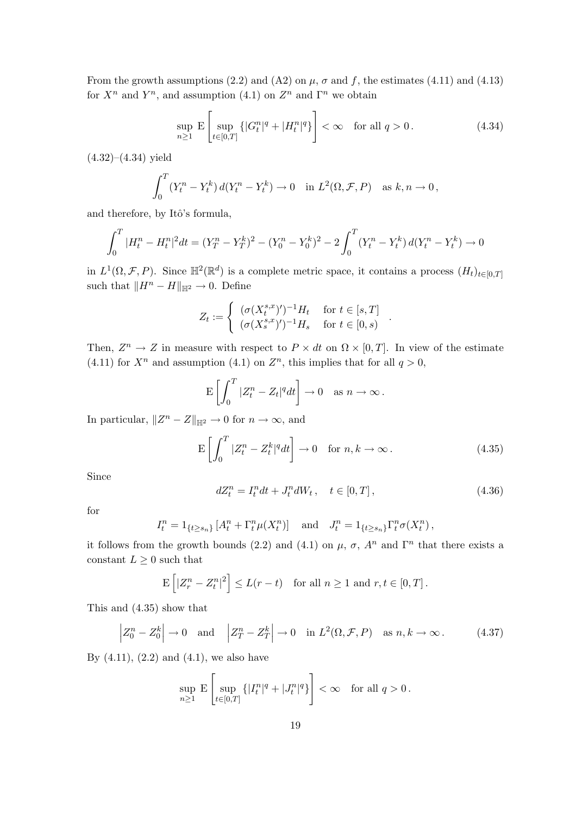From the growth assumptions (2.2) and (A2) on  $\mu$ ,  $\sigma$  and f, the estimates (4.11) and (4.13) for  $X^n$  and  $Y^n$ , and assumption (4.1) on  $Z^n$  and  $\Gamma^n$  we obtain

$$
\sup_{n\geq 1} \mathcal{E}\left[\sup_{t\in[0,T]} \{|G^n_t|^q + |H^n_t|^q\}\right] < \infty \quad \text{for all } q > 0. \tag{4.34}
$$

 $(4.32)–(4.34)$  yield

$$
\int_0^T (Y_t^n - Y_t^k) d(Y_t^n - Y_t^k) \to 0 \quad \text{in } L^2(\Omega, \mathcal{F}, P) \quad \text{as } k, n \to 0,
$$

and therefore, by Itô's formula,

$$
\int_0^T |H^n_t - H^n_t|^2 dt = (Y^n_T - Y^n_T)^2 - (Y^n_0 - Y^n_0)^2 - 2 \int_0^T (Y^n_t - Y^n_t) d(Y^n_t - Y^n_t) \to 0
$$

in  $L^1(\Omega, \mathcal{F}, P)$ . Since  $\mathbb{H}^2(\mathbb{R}^d)$  is a complete metric space, it contains a process  $(H_t)_{t\in[0,T]}$ such that  $||H^n - H||_{\mathbb{H}^2} \to 0$ . Define

$$
Z_t := \begin{cases} (\sigma(X_t^{s,x})')^{-1} H_t & \text{for } t \in [s,T] \\ (\sigma(X_s^{s,x})')^{-1} H_s & \text{for } t \in [0,s) \end{cases}
$$

Then,  $Z^n \to Z$  in measure with respect to  $P \times dt$  on  $\Omega \times [0, T]$ . In view of the estimate (4.11) for  $X^n$  and assumption (4.1) on  $Z^n$ , this implies that for all  $q > 0$ ,

$$
\mathbf{E}\left[\int_0^T |Z_t^n - Z_t|^q dt\right] \to 0 \quad \text{as } n \to \infty\,.
$$

In particular,  $||Z^n - Z||_{\mathbb{H}^2} \to 0$  for  $n \to \infty$ , and

$$
\mathcal{E}\left[\int_0^T |Z_t^n - Z_t^k|^q dt\right] \to 0 \quad \text{for } n, k \to \infty.
$$
 (4.35)

Since

$$
dZ_t^n = I_t^n dt + J_t^n dW_t, \quad t \in [0, T], \tag{4.36}
$$

.

for

$$
I_t^n = 1_{\{t \ge s_n\}} [A_t^n + \Gamma_t^n \mu(X_t^n)] \text{ and } J_t^n = 1_{\{t \ge s_n\}} \Gamma_t^n \sigma(X_t^n),
$$

it follows from the growth bounds (2.2) and (4.1) on  $\mu$ ,  $\sigma$ ,  $A^n$  and  $\Gamma^n$  that there exists a constant  $L\geq 0$  such that

$$
\mathbf{E}\left[|Z_r^n - Z_t^n|^2\right] \le L(r - t) \quad \text{for all } n \ge 1 \text{ and } r, t \in [0, T].
$$

This and (4.35) show that

$$
\left| Z_0^n - Z_0^k \right| \to 0 \quad \text{and} \quad \left| Z_T^n - Z_T^k \right| \to 0 \quad \text{in } L^2(\Omega, \mathcal{F}, P) \quad \text{as } n, k \to \infty \,.
$$
 (4.37)

By  $(4.11)$ ,  $(2.2)$  and  $(4.1)$ , we also have

$$
\sup_{n\geq 1} \mathbf{E} \left[ \sup_{t\in[0,T]} \{ |I_t^n|^q + |J_t^n|^q \} \right] < \infty \quad \text{for all } q > 0 \,.
$$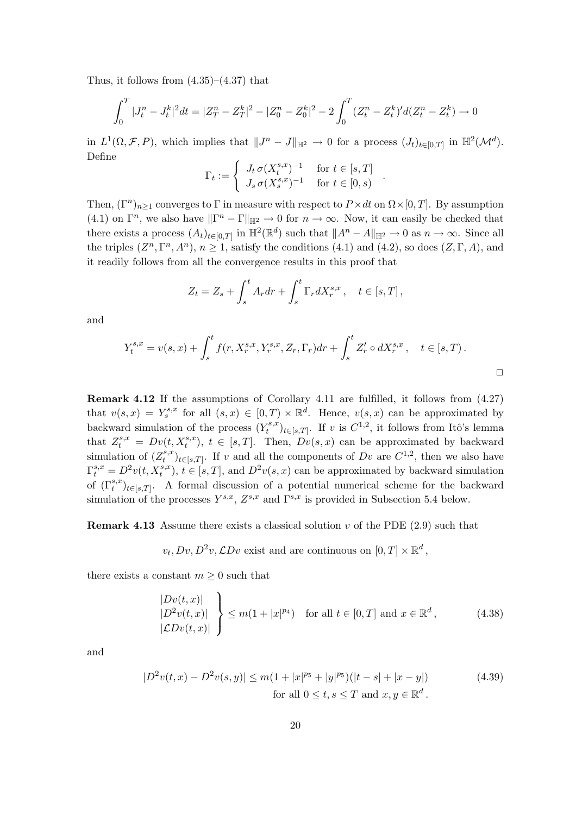Thus, it follows from  $(4.35)$ – $(4.37)$  that

$$
\int_0^T |J_t^n - J_t^k|^2 dt = |Z_T^n - Z_T^k|^2 - |Z_0^n - Z_0^k|^2 - 2 \int_0^T (Z_t^n - Z_t^k)' d(Z_t^n - Z_t^k) \to 0
$$

in  $L^1(\Omega, \mathcal{F}, P)$ , which implies that  $||J^n - J||_{\mathbb{H}^2} \to 0$  for a process  $(J_t)_{t \in [0,T]}$  in  $\mathbb{H}^2(\mathcal{M}^d)$ . Define

$$
\Gamma_t := \begin{cases} J_t \,\sigma(X_t^{s,x})^{-1} & \text{for } t \in [s,T] \\ J_s \,\sigma(X_s^{s,x})^{-1} & \text{for } t \in [0,s) \end{cases}.
$$

Then,  $(\Gamma^n)_{n\geq 1}$  converges to  $\Gamma$  in measure with respect to  $P\times dt$  on  $\Omega\times[0,T]$ . By assumption (4.1) on  $\Gamma^n$ , we also have  $\|\Gamma^n - \Gamma\|_{\mathbb{H}^2} \to 0$  for  $n \to \infty$ . Now, it can easily be checked that there exists a process  $(A_t)_{t\in[0,T]}$  in  $\mathbb{H}^2(\mathbb{R}^d)$  such that  $||A^n - A||_{\mathbb{H}^2} \to 0$  as  $n \to \infty$ . Since all the triples  $(Z^n, \Gamma^n, A^n)$ ,  $n \ge 1$ , satisfy the conditions (4.1) and (4.2), so does  $(Z, \Gamma, A)$ , and it readily follows from all the convergence results in this proof that

$$
Z_t = Z_s + \int_s^t A_r dr + \int_s^t \Gamma_r dX_r^{s,x}, \quad t \in [s, T],
$$

and

$$
Y_t^{s,x} = v(s,x) + \int_s^t f(r, X_r^{s,x}, Y_r^{s,x}, Z_r, \Gamma_r) dr + \int_s^t Z'_r \circ dX_r^{s,x}, \quad t \in [s,T) .
$$

Remark 4.12 If the assumptions of Corollary 4.11 are fulfilled, it follows from (4.27) that  $v(s,x) = Y_s^{s,x}$  for all  $(s,x) \in [0,T) \times \mathbb{R}^d$ . Hence,  $v(s,x)$  can be approximated by backward simulation of the process  $(Y_t^{s,x})$  $(t_t^{s,x})_{t\in[s,T]}$ . If v is  $C^{1,2}$ , it follows from Itô's lemma that  $Z_t^{s,x} = Dv(t, X_t^{s,x})$ ,  $t \in [s,T]$ . Then,  $Dv(s,x)$  can be approximated by backward simulation of  $(Z_t^{s,x})$  $(t_t^{s,x})_{t\in [s,T]}$ . If v and all the components of Dv are  $C^{1,2}$ , then we also have  $\Gamma_t^{s,x} = D^2v(t, X_t^{s,x}), t \in [s,T],$  and  $D^2v(s,x)$  can be approximated by backward simulation of  $(\Gamma_t^{s,x})_{t\in [s,T]}$ . A formal discussion of a potential numerical scheme for the backward simulation of the processes  $Y^{s,x}$ ,  $Z^{s,x}$  and  $\Gamma^{s,x}$  is provided in Subsection 5.4 below.

**Remark 4.13** Assume there exists a classical solution v of the PDE  $(2.9)$  such that

 $v_t, Dv, D^2v, \mathcal{L}Dv$  exist and are continuous on  $[0, T] \times \mathbb{R}^d$ ,

there exists a constant  $m \geq 0$  such that

$$
\begin{aligned}\n|Dv(t,x)| \\
|D^2v(t,x)| \\
|\mathcal{L}Dv(t,x)|\n\end{aligned}\n\geq m(1+|x|^{p_4}) \quad \text{for all } t \in [0,T] \text{ and } x \in \mathbb{R}^d,
$$
\n(4.38)

and

$$
|D^{2}v(t,x) - D^{2}v(s,y)| \le m(1+|x|^{p_{5}}+|y|^{p_{5}})(|t-s|+|x-y|)
$$
\nfor all  $0 \le t, s \le T$  and  $x, y \in \mathbb{R}^{d}$ .

\n(4.39)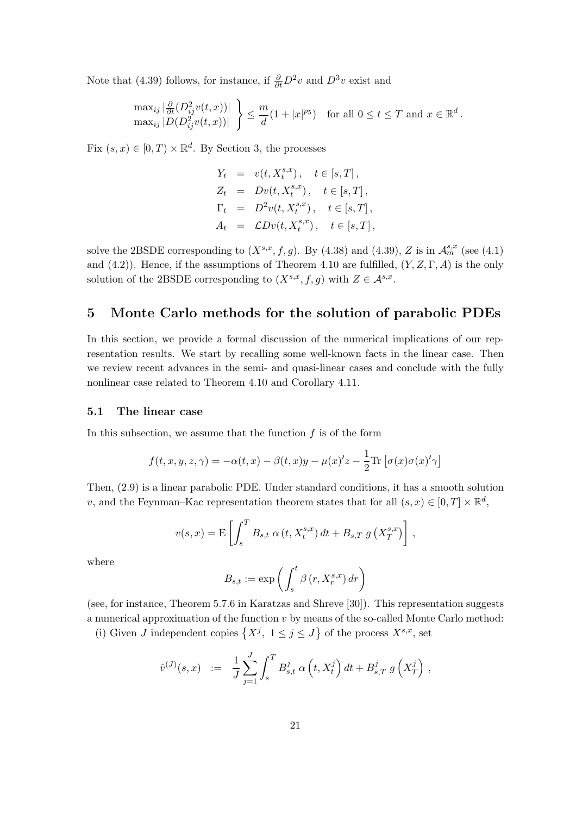Note that (4.39) follows, for instance, if  $\frac{\partial}{\partial t}D^2v$  and  $D^3v$  exist and

$$
\max_{ij} |\frac{\partial}{\partial t} (D_{ij}^2 v(t,x))| \}\max_{ij} |D(D_{ij}^2 v(t,x))| \}\leq \frac{m}{d} (1+|x|^{p_5}) \quad \text{for all } 0 \leq t \leq T \text{ and } x \in \mathbb{R}^d.
$$

Fix  $(s, x) \in [0, T) \times \mathbb{R}^d$ . By Section 3, the processes

$$
Y_t = v(t, X_t^{s,x}), \t t \in [s, T],
$$
  
\n
$$
Z_t = Dv(t, X_t^{s,x}), \t t \in [s, T],
$$
  
\n
$$
\Gamma_t = D^2v(t, X_t^{s,x}), \t t \in [s, T],
$$
  
\n
$$
A_t = CDv(t, X_t^{s,x}), \t t \in [s, T],
$$

solve the 2BSDE corresponding to  $(X^{s,x}, f, g)$ . By  $(4.38)$  and  $(4.39)$ , Z is in  $\mathcal{A}_m^{s,x}$  (see  $(4.1)$ ) and  $(4.2)$ ). Hence, if the assumptions of Theorem 4.10 are fulfilled,  $(Y, Z, \Gamma, A)$  is the only solution of the 2BSDE corresponding to  $(X^{s,x}, f, g)$  with  $Z \in \mathcal{A}^{s,x}$ .

# 5 Monte Carlo methods for the solution of parabolic PDEs

In this section, we provide a formal discussion of the numerical implications of our representation results. We start by recalling some well-known facts in the linear case. Then we review recent advances in the semi- and quasi-linear cases and conclude with the fully nonlinear case related to Theorem 4.10 and Corollary 4.11.

#### 5.1 The linear case

In this subsection, we assume that the function  $f$  is of the form

$$
f(t, x, y, z, \gamma) = -\alpha(t, x) - \beta(t, x)y - \mu(x)'z - \frac{1}{2}\text{Tr}\left[\sigma(x)\sigma(x)'\gamma\right]
$$

Then, (2.9) is a linear parabolic PDE. Under standard conditions, it has a smooth solution v, and the Feynman–Kac representation theorem states that for all  $(s, x) \in [0, T] \times \mathbb{R}^d$ ,

$$
v(s,x) = \mathbf{E}\left[\int_s^T B_{s,t} \alpha\left(t, X_t^{s,x}\right) dt + B_{s,T} g\left(X_T^{s,x}\right)\right],
$$

where

$$
B_{s,t}:=\exp\left(\int_s^t\beta\left(r,X^{s,x}_r\right)dr\right)
$$

(see, for instance, Theorem 5.7.6 in Karatzas and Shreve [30]). This representation suggests a numerical approximation of the function  $v$  by means of the so-called Monte Carlo method: munerical approximation of the function v by means of the so-called Monte<br>(i) Given J independent copies  $\{X^j, 1 \le j \le J\}$  of the process  $X^{s,x}$ , set

$$
\hat{v}^{(J)}(s,x) \;\; := \;\; \frac{1}{J} \sum_{j=1}^J \int_s^T B^j_{s,t} \; \alpha\left(t,X^j_t\right) dt + B^j_{s,T} \; g\left(X^j_T\right) \,,
$$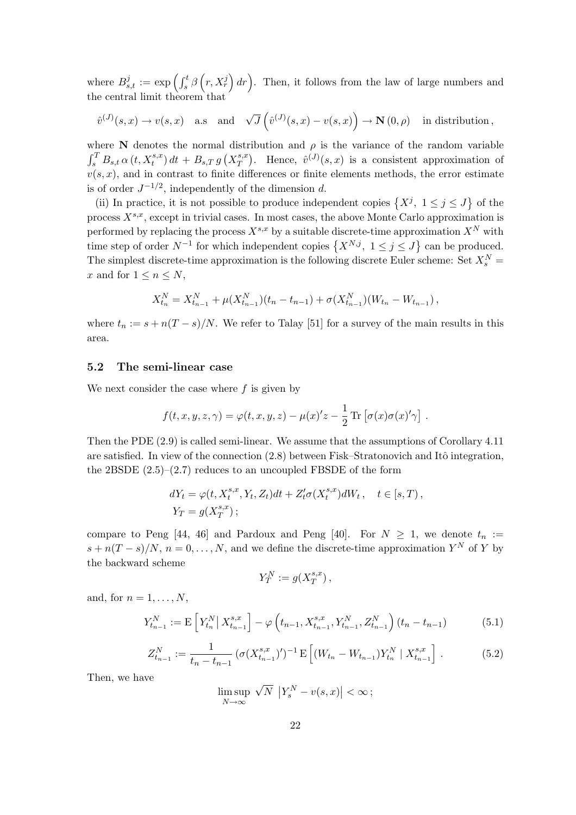where  $B_s^j$  $s_{s,t}^{j} := \exp\left(\int_{s}^{t} \beta_s$  $\overline{a}$  $r, X_r^j$  $\int dr$ ). Then, it follows from the law of large numbers and the central limit theorem that

$$
\hat{v}^{(J)}(s,x) \to v(s,x)
$$
 a.s and  $\sqrt{J}\left(\hat{v}^{(J)}(s,x) - v(s,x)\right) \to \mathbf{N}(0,\rho)$  in distribution,

where N denotes the normal distribution and  $\rho$  is the variance of the random variable where in denotes the normal  $\int_s^T B_{s,t} \alpha(t, X_t^{s,x}) dt + B_{s,T} g$ ¡  $X^{s,x}_T$ T  $\frac{1}{\sqrt{2}}$ Hence,  $\hat{v}^{(J)}(s,x)$  is a consistent approximation of  $v(s, x)$ , and in contrast to finite differences or finite elements methods, the error estimate is of order  $J^{-1/2}$ , independently of the dimension d. ª

(ii) In practice, it is not possible to produce independent copies  $\{X^j, 1 \le j \le J\}$ of the process  $X^{s,x}$ , except in trivial cases. In most cases, the above Monte Carlo approximation is performed by replacing the process  $X^{s,x}$  by a suitable discrete-time approximation  $X^N$  with performed by replacing the process  $X \to y$  a suitable discrete-time approximation  $X$  with time step of order  $N^{-1}$  for which independent copies  $\{X^{N,j}, 1 \le j \le J\}$  can be produced. The simplest discrete-time approximation is the following discrete Euler scheme: Set  $X_s^N$  = x and for  $1 \leq n \leq N$ ,

$$
X_{t_n}^N = X_{t_{n-1}}^N + \mu(X_{t_{n-1}}^N)(t_n - t_{n-1}) + \sigma(X_{t_{n-1}}^N)(W_{t_n} - W_{t_{n-1}}),
$$

where  $t_n := s + n(T - s)/N$ . We refer to Talay [51] for a survey of the main results in this area.

## 5.2 The semi-linear case

We next consider the case where  $f$  is given by

$$
f(t, x, y, z, \gamma) = \varphi(t, x, y, z) - \mu(x)'z - \frac{1}{2} \operatorname{Tr} [\sigma(x)\sigma(x)'\gamma] .
$$

Then the PDE (2.9) is called semi-linear. We assume that the assumptions of Corollary 4.11 are satisfied. In view of the connection  $(2.8)$  between Fisk–Stratonovich and Itô integration, the 2BSDE  $(2.5)$ – $(2.7)$  reduces to an uncoupled FBSDE of the form

$$
dY_t = \varphi(t, X_t^{s,x}, Y_t, Z_t)dt + Z'_t \sigma(X_t^{s,x})dW_t, \quad t \in [s, T),
$$
  

$$
Y_T = g(X_T^{s,x});
$$

compare to Peng [44, 46] and Pardoux and Peng [40]. For  $N \geq 1$ , we denote  $t_n :=$  $s + n(T - s)/N$ ,  $n = 0, ..., N$ , and we define the discrete-time approximation  $Y^N$  of Y by the backward scheme

$$
Y_T^N := g(X_T^{s,x}),
$$

and, for  $n = 1, \ldots, N$ ,

$$
Y_{t_{n-1}}^N := \mathbf{E}\left[Y_{t_n}^N \,|\, X_{t_{n-1}}^{s,x}\right] - \varphi\left(t_{n-1}, X_{t_{n-1}}^{s,x}, Y_{t_{n-1}}^N, Z_{t_{n-1}}^N\right) (t_n - t_{n-1}) \tag{5.1}
$$

$$
Z_{t_{n-1}}^N := \frac{1}{t_n - t_{n-1}} \left( \sigma(X_{t_{n-1}}^{s,x})' \right)^{-1} \mathcal{E} \left[ (W_{t_n} - W_{t_{n-1}}) Y_{t_n}^N \mid X_{t_{n-1}}^{s,x} \right]. \tag{5.2}
$$

Then, we have

$$
\limsup_{N \to \infty} \sqrt{N} |Y_s^N - v(s, x)| < \infty;
$$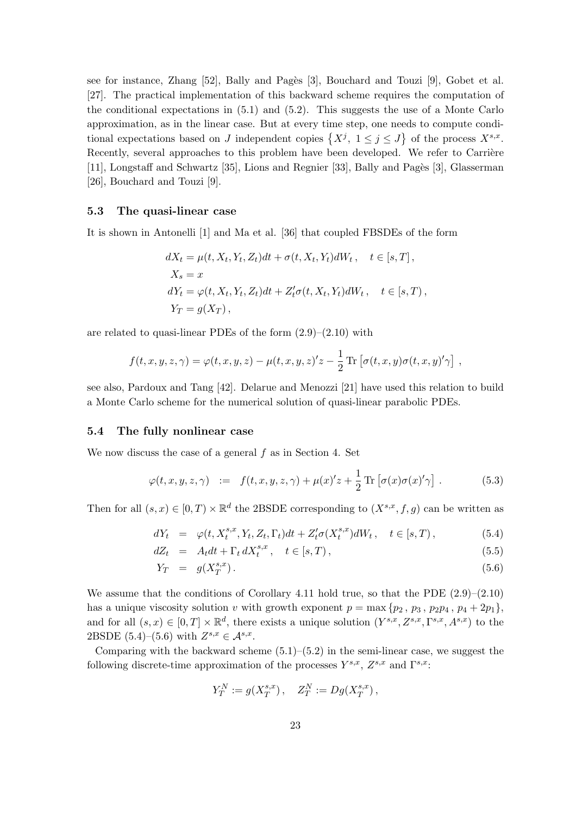see for instance, Zhang  $[52]$ , Bally and Pagès  $[3]$ , Bouchard and Touzi  $[9]$ , Gobet et al. [27]. The practical implementation of this backward scheme requires the computation of the conditional expectations in (5.1) and (5.2). This suggests the use of a Monte Carlo approximation, as in the linear case. But at every time step, one needs to compute condiapproximation, as in the linear case. But at every time step, one needs to compute conditional expectations based on J independent copies  $\{X^j, 1 \leq j \leq J\}$  of the process  $X^{s,x}$ . Recently, several approaches to this problem have been developed. We refer to Carrière [11], Longstaff and Schwartz [35], Lions and Regnier [33], Bally and Pagès [3], Glasserman [26], Bouchard and Touzi [9].

## 5.3 The quasi-linear case

It is shown in Antonelli [1] and Ma et al. [36] that coupled FBSDEs of the form

$$
dX_t = \mu(t, X_t, Y_t, Z_t)dt + \sigma(t, X_t, Y_t)dW_t, \quad t \in [s, T],
$$
  
\n
$$
X_s = x
$$
  
\n
$$
dY_t = \varphi(t, X_t, Y_t, Z_t)dt + Z_t'\sigma(t, X_t, Y_t)dW_t, \quad t \in [s, T),
$$
  
\n
$$
Y_T = g(X_T),
$$

are related to quasi-linear PDEs of the form (2.9)–(2.10) with

$$
f(t, x, y, z, \gamma) = \varphi(t, x, y, z) - \mu(t, x, y, z)'z - \frac{1}{2} \operatorname{Tr} \left[ \sigma(t, x, y) \sigma(t, x, y)' \gamma \right],
$$

see also, Pardoux and Tang [42]. Delarue and Menozzi [21] have used this relation to build a Monte Carlo scheme for the numerical solution of quasi-linear parabolic PDEs.

#### 5.4 The fully nonlinear case

We now discuss the case of a general f as in Section 4. Set

$$
\varphi(t, x, y, z, \gamma) := f(t, x, y, z, \gamma) + \mu(x)'z + \frac{1}{2} \operatorname{Tr} \left[ \sigma(x)\sigma(x)'\gamma \right]. \tag{5.3}
$$

Then for all  $(s, x) \in [0, T) \times \mathbb{R}^d$  the 2BSDE corresponding to  $(X^{s,x}, f, g)$  can be written as

$$
dY_t = \varphi(t, X_t^{s,x}, Y_t, Z_t, \Gamma_t)dt + Z_t^{\prime}\sigma(X_t^{s,x})dW_t, \quad t \in [s, T), \tag{5.4}
$$

$$
dZ_t = A_t dt + \Gamma_t dX_t^{s,x}, \quad t \in [s, T), \tag{5.5}
$$

$$
Y_T = g(X_T^{s,x}). \tag{5.6}
$$

We assume that the conditions of Corollary 4.11 hold true, so that the PDE  $(2.9)$ – $(2.10)$ has a unique viscosity solution v with growth exponent  $p = \max \{p_2, p_3, p_2p_4, p_4 + 2p_1\}$ , and for all  $(s, x) \in [0, T] \times \mathbb{R}^d$ , there exists a unique solution  $(Y^{s,x}, Z^{s,x}, \Gamma^{s,x}, A^{s,x})$  to the 2BSDE  $(5.4)$ – $(5.6)$  with  $Z^{s,x} \in \mathcal{A}^{s,x}$ .

Comparing with the backward scheme  $(5.1)$ – $(5.2)$  in the semi-linear case, we suggest the following discrete-time approximation of the processes  $Y^{s,x}$ ,  $Z^{s,x}$  and  $\Gamma^{s,x}$ :

$$
Y^N_T := g(X^{s,x}_T) \, , \quad Z^N_T := Dg(X^{s,x}_T) \, ,
$$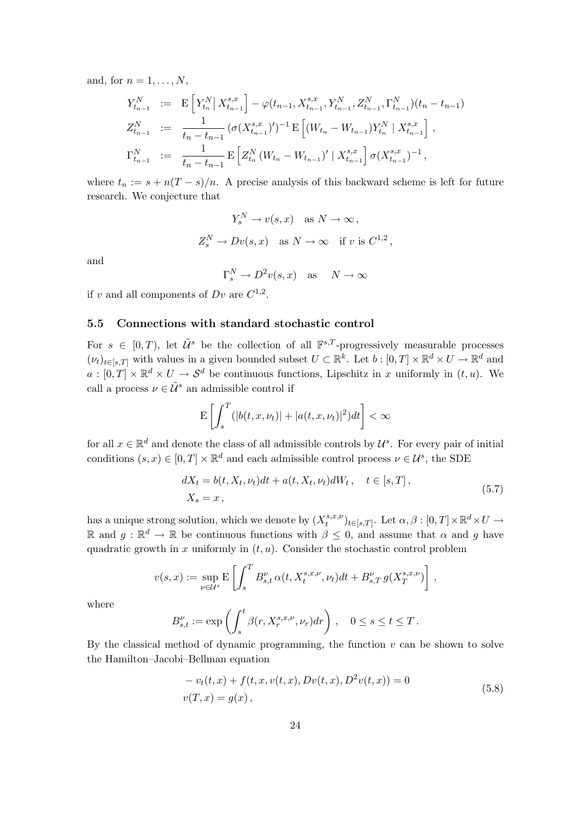and, for  $n = 1, \ldots, N$ ,

$$
Y_{t_{n-1}}^N := \mathbf{E}\left[Y_{t_n}^N \middle| X_{t_{n-1}}^{s,x}\right] - \varphi(t_{n-1}, X_{t_{n-1}}^{s,x}, Y_{t_{n-1}}^N, Z_{t_{n-1}}^N, \Gamma_{t_{n-1}}^N)(t_n - t_{n-1})
$$
  
\n
$$
Z_{t_{n-1}}^N := \frac{1}{t_n - t_{n-1}} \left(\sigma(X_{t_{n-1}}^{s,x})'\right)^{-1} \mathbf{E}\left[(W_{t_n} - W_{t_{n-1}})Y_{t_n}^N \middle| X_{t_{n-1}}^{s,x}\right],
$$
  
\n
$$
\Gamma_{t_{n-1}}^N := \frac{1}{t_n - t_{n-1}} \mathbf{E}\left[Z_{t_n}^N (W_{t_n} - W_{t_{n-1}})' \middle| X_{t_{n-1}}^{s,x}\right] \sigma(X_{t_{n-1}}^{s,x})^{-1},
$$

where  $t_n := s + n(T - s)/n$ . A precise analysis of this backward scheme is left for future research. We conjecture that

$$
Y_s^N \to v(s, x) \quad \text{as } N \to \infty \,,
$$
  

$$
Z_s^N \to Dv(s, x) \quad \text{as } N \to \infty \quad \text{if } v \text{ is } C^{1,2} \,,
$$

and

$$
\Gamma_s^N \to D^2v(s, x)
$$
 as  $N \to \infty$ 

if v and all components of  $Dv$  are  $C^{1,2}$ .

## 5.5 Connections with standard stochastic control

For  $s \in [0,T)$ , let  $\tilde{U}^s$  be the collection of all  $\mathbb{F}^{s,T}$ -progressively measurable processes  $(\nu_t)_{t\in[s,T]}$  with values in a given bounded subset  $U\subset\mathbb{R}^k$ . Let  $b:[0,T]\times\mathbb{R}^d\times U\to\mathbb{R}^d$  and  $a: [0,T] \times \mathbb{R}^d \times U \to \mathcal{S}^d$  be continuous functions, Lipschitz in x uniformly in  $(t, u)$ . We call a process  $\nu \in \tilde{\mathcal{U}}^s$  an admissible control if

$$
\mathbf{E}\left[\int_{s}^{T}(|b(t,x,\nu_t)|+|a(t,x,\nu_t)|^2)dt\right]<\infty
$$

for all  $x \in \mathbb{R}^d$  and denote the class of all admissible controls by  $\mathcal{U}^s$ . For every pair of initial conditions  $(s, x) \in [0, T] \times \mathbb{R}^d$  and each admissible control process  $\nu \in \mathcal{U}^s$ , the SDE

$$
dX_t = b(t, X_t, \nu_t)dt + a(t, X_t, \nu_t)dW_t, \quad t \in [s, T],
$$
  

$$
X_s = x,
$$
 (5.7)

,

has a unique strong solution, which we denote by  $(X_t^{s,x,\nu})$  $_{t}^{s,x,\nu}$ )<sub>t∈[s,T]</sub>. Let  $\alpha, \beta : [0,T] \times \mathbb{R}^d \times U \rightarrow$ R and  $g$  : R<sup>d</sup> → R be continuous functions with  $\beta$  ≤ 0, and assume that α and g have quadratic growth in x uniformly in  $(t, u)$ . Consider the stochastic control problem

$$
v(s,x):=\sup_{\nu\in\mathcal{U}^s}\mathbf{E}\left[\int_s^T B_{s,t}^\nu\,\alpha(t,X^{s,x,\nu}_t,\nu_t)dt+B_{s,T}^\nu\,g(X^{s,x,\nu}_T)\right]
$$

where

$$
B_{s,t}^\nu:=\exp\left(\int_s^t \beta(r,X^{s,x,\nu}_r,\nu_r)dr\right)\,,\quad 0\le s\le t\le T\,.
$$

By the classical method of dynamic programming, the function  $v$  can be shown to solve the Hamilton–Jacobi–Bellman equation

$$
-v_t(t, x) + f(t, x, v(t, x), Dv(t, x), D^2v(t, x)) = 0
$$
  

$$
v(T, x) = g(x),
$$
 (5.8)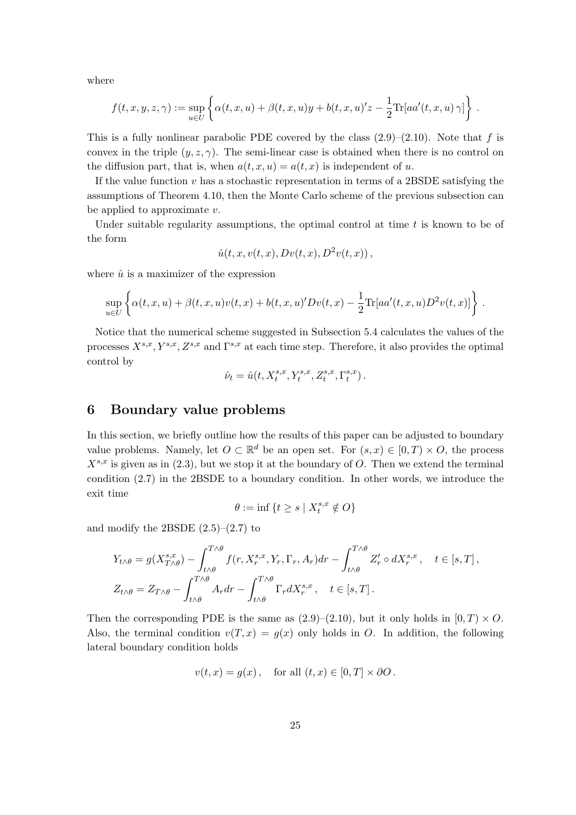where

$$
f(t,x,y,z,\gamma):=\sup_{u\in U}\left\{\alpha(t,x,u)+\beta(t,x,u)y+b(t,x,u)'z-\frac{1}{2}\text{Tr}[aa'(t,x,u)\,\gamma]\right\}\,.
$$

This is a fully nonlinear parabolic PDE covered by the class  $(2.9)$ – $(2.10)$ . Note that f is convex in the triple  $(y, z, \gamma)$ . The semi-linear case is obtained when there is no control on the diffusion part, that is, when  $a(t, x, u) = a(t, x)$  is independent of u.

If the value function  $v$  has a stochastic representation in terms of a 2BSDE satisfying the assumptions of Theorem 4.10, then the Monte Carlo scheme of the previous subsection can be applied to approximate  $v$ .

Under suitable regularity assumptions, the optimal control at time  $t$  is known to be of the form

$$
\hat{u}(t,x,v(t,x),Dv(t,x),D^{2}v(t,x)),
$$

where  $\hat{u}$  is a maximizer of the expression

$$
\sup_{u \in U} \left\{ \alpha(t, x, u) + \beta(t, x, u)v(t, x) + b(t, x, u)'Dv(t, x) - \frac{1}{2} \text{Tr}[aa'(t, x, u)D^{2}v(t, x)] \right\}.
$$

Notice that the numerical scheme suggested in Subsection 5.4 calculates the values of the processes  $X^{s,x}, Y^{s,x}, Z^{s,x}$  and  $\Gamma^{s,x}$  at each time step. Therefore, it also provides the optimal control by

$$
\label{eq:nu} \hat{\nu}_t = \hat{u}(t, X^{s,x}_t, Y^{s,x}_t, Z^{s,x}_t, \Gamma^{s,x}_t) \,.
$$

# 6 Boundary value problems

In this section, we briefly outline how the results of this paper can be adjusted to boundary value problems. Namely, let  $O \subset \mathbb{R}^d$  be an open set. For  $(s, x) \in [0, T] \times O$ , the process  $X^{s,x}$  is given as in (2.3), but we stop it at the boundary of O. Then we extend the terminal condition (2.7) in the 2BSDE to a boundary condition. In other words, we introduce the exit time

$$
\theta := \inf \left\{ t \ge s \mid X_t^{s,x} \notin O \right\}
$$

and modify the 2BSDE  $(2.5)$ – $(2.7)$  to

$$
Y_{t\wedge\theta} = g(X_{T\wedge\theta}^{s,x}) - \int_{t\wedge\theta}^{T\wedge\theta} f(r, X_r^{s,x}, Y_r, \Gamma_r, A_r) dr - \int_{t\wedge\theta}^{T\wedge\theta} Z'_r \circ dX_r^{s,x}, \quad t \in [s, T],
$$
  

$$
Z_{t\wedge\theta} = Z_{T\wedge\theta} - \int_{t\wedge\theta}^{T\wedge\theta} A_r dr - \int_{t\wedge\theta}^{T\wedge\theta} \Gamma_r dX_r^{s,x}, \quad t \in [s, T].
$$

Then the corresponding PDE is the same as  $(2.9)$ – $(2.10)$ , but it only holds in  $[0, T] \times O$ . Also, the terminal condition  $v(T, x) = g(x)$  only holds in O. In addition, the following lateral boundary condition holds

$$
v(t, x) = g(x)
$$
, for all  $(t, x) \in [0, T] \times \partial O$ .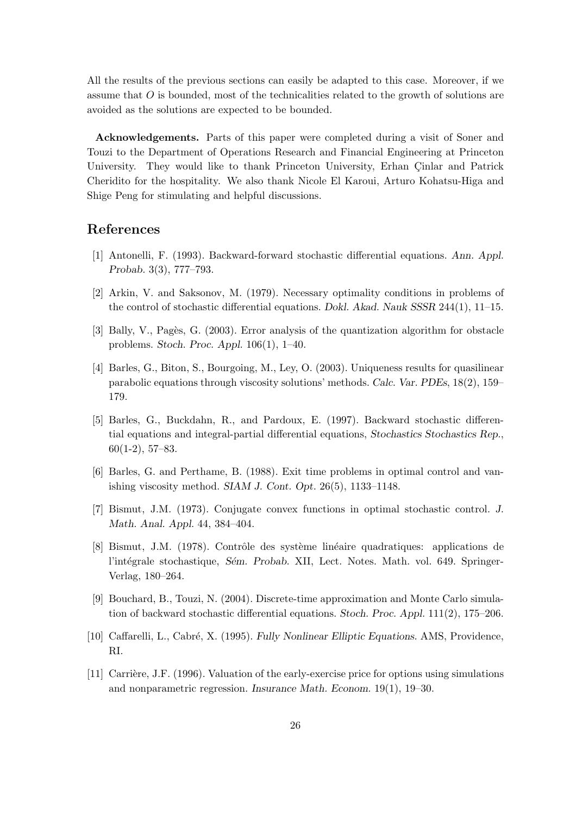All the results of the previous sections can easily be adapted to this case. Moreover, if we assume that O is bounded, most of the technicalities related to the growth of solutions are avoided as the solutions are expected to be bounded.

Acknowledgements. Parts of this paper were completed during a visit of Soner and Touzi to the Department of Operations Research and Financial Engineering at Princeton University. They would like to thank Princeton University, Erhan Cinlar and Patrick Cheridito for the hospitality. We also thank Nicole El Karoui, Arturo Kohatsu-Higa and Shige Peng for stimulating and helpful discussions.

# References

- [1] Antonelli, F. (1993). Backward-forward stochastic differential equations. Ann. Appl. Probab. 3(3), 777–793.
- [2] Arkin, V. and Saksonov, M. (1979). Necessary optimality conditions in problems of the control of stochastic differential equations. Dokl. Akad. Nauk SSSR 244(1), 11–15.
- [3] Bally, V., Pagès, G. (2003). Error analysis of the quantization algorithm for obstacle problems. Stoch. Proc. Appl. 106(1), 1–40.
- [4] Barles, G., Biton, S., Bourgoing, M., Ley, O. (2003). Uniqueness results for quasilinear parabolic equations through viscosity solutions' methods. Calc. Var. PDEs, 18(2), 159– 179.
- [5] Barles, G., Buckdahn, R., and Pardoux, E. (1997). Backward stochastic differential equations and integral-partial differential equations, Stochastics Stochastics Rep., 60(1-2), 57–83.
- [6] Barles, G. and Perthame, B. (1988). Exit time problems in optimal control and vanishing viscosity method. SIAM J. Cont. Opt. 26(5), 1133–1148.
- [7] Bismut, J.M. (1973). Conjugate convex functions in optimal stochastic control. J. Math. Anal. Appl. 44, 384–404.
- [8] Bismut, J.M. (1978). Contrôle des système linéaire quadratiques: applications de l'intégrale stochastique, Sém. Probab. XII, Lect. Notes. Math. vol. 649. Springer-Verlag, 180–264.
- [9] Bouchard, B., Touzi, N. (2004). Discrete-time approximation and Monte Carlo simulation of backward stochastic differential equations. Stoch. Proc. Appl. 111(2), 175–206.
- [10] Caffarelli, L., Cabré, X. (1995). Fully Nonlinear Elliptic Equations. AMS, Providence, RI.
- [11] Carrière, J.F. (1996). Valuation of the early-exercise price for options using simulations and nonparametric regression. Insurance Math. Econom. 19(1), 19–30.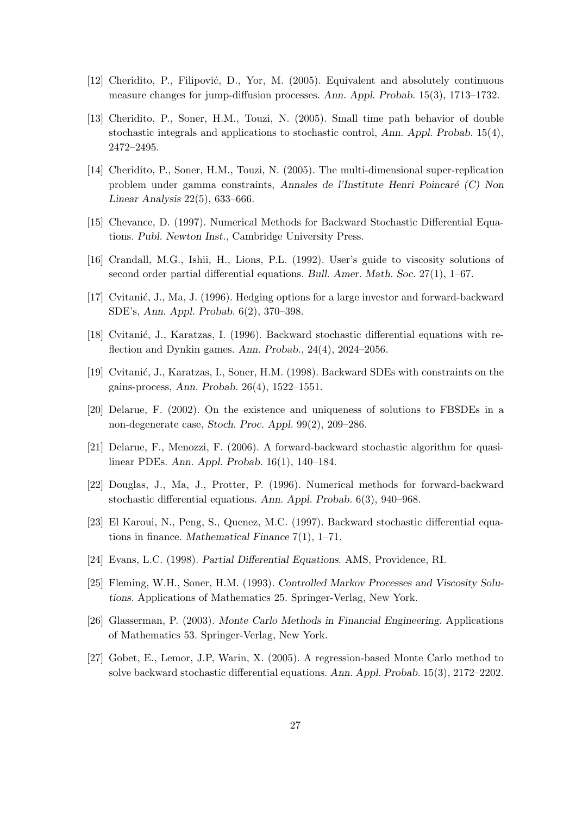- [12] Cheridito, P., Filipović, D., Yor, M. (2005). Equivalent and absolutely continuous measure changes for jump-diffusion processes. Ann. Appl. Probab. 15(3), 1713–1732.
- [13] Cheridito, P., Soner, H.M., Touzi, N. (2005). Small time path behavior of double stochastic integrals and applications to stochastic control, Ann. Appl. Probab. 15(4), 2472–2495.
- [14] Cheridito, P., Soner, H.M., Touzi, N. (2005). The multi-dimensional super-replication problem under gamma constraints, Annales de l'Institute Henri Poincar´e (C) Non Linear Analysis 22(5), 633–666.
- [15] Chevance, D. (1997). Numerical Methods for Backward Stochastic Differential Equations. Publ. Newton Inst., Cambridge University Press.
- [16] Crandall, M.G., Ishii, H., Lions, P.L. (1992). User's guide to viscosity solutions of second order partial differential equations. Bull. Amer. Math. Soc. 27(1), 1–67.
- [17] Cvitanić, J., Ma, J. (1996). Hedging options for a large investor and forward-backward SDE's, Ann. Appl. Probab. 6(2), 370–398.
- [18] Cvitanić, J., Karatzas, I. (1996). Backward stochastic differential equations with reflection and Dynkin games. Ann. Probab., 24(4), 2024–2056.
- [19] Cvitanić, J., Karatzas, I., Soner, H.M. (1998). Backward SDEs with constraints on the gains-process, Ann. Probab. 26(4), 1522–1551.
- [20] Delarue, F. (2002). On the existence and uniqueness of solutions to FBSDEs in a non-degenerate case, Stoch. Proc. Appl. 99(2), 209–286.
- [21] Delarue, F., Menozzi, F. (2006). A forward-backward stochastic algorithm for quasilinear PDEs. Ann. Appl. Probab. 16(1), 140–184.
- [22] Douglas, J., Ma, J., Protter, P. (1996). Numerical methods for forward-backward stochastic differential equations. Ann. Appl. Probab. 6(3), 940–968.
- [23] El Karoui, N., Peng, S., Quenez, M.C. (1997). Backward stochastic differential equations in finance. Mathematical Finance 7(1), 1–71.
- [24] Evans, L.C. (1998). Partial Differential Equations. AMS, Providence, RI.
- [25] Fleming, W.H., Soner, H.M. (1993). Controlled Markov Processes and Viscosity Solutions. Applications of Mathematics 25. Springer-Verlag, New York.
- [26] Glasserman, P. (2003). Monte Carlo Methods in Financial Engineering. Applications of Mathematics 53. Springer-Verlag, New York.
- [27] Gobet, E., Lemor, J.P, Warin, X. (2005). A regression-based Monte Carlo method to solve backward stochastic differential equations. Ann. Appl. Probab. 15(3), 2172–2202.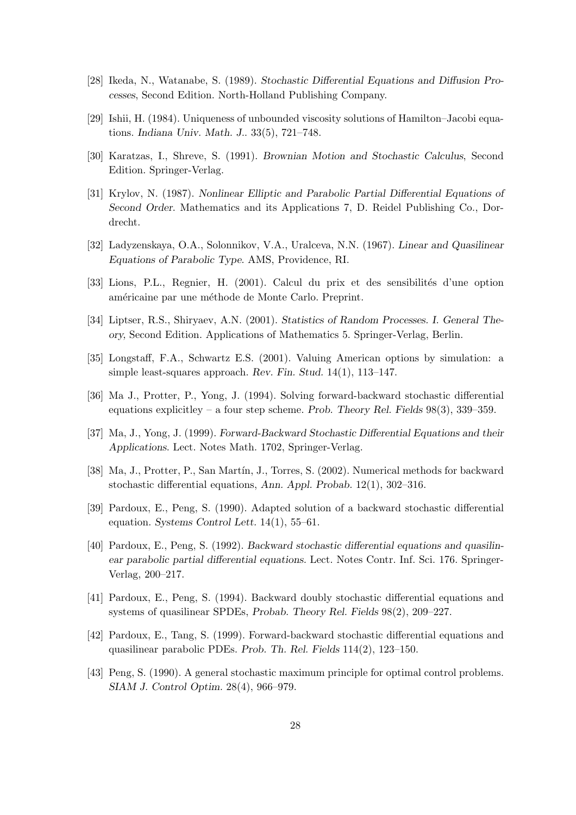- [28] Ikeda, N., Watanabe, S. (1989). Stochastic Differential Equations and Diffusion Processes, Second Edition. North-Holland Publishing Company.
- [29] Ishii, H. (1984). Uniqueness of unbounded viscosity solutions of Hamilton–Jacobi equations. Indiana Univ. Math. J.. 33(5), 721–748.
- [30] Karatzas, I., Shreve, S. (1991). Brownian Motion and Stochastic Calculus, Second Edition. Springer-Verlag.
- [31] Krylov, N. (1987). Nonlinear Elliptic and Parabolic Partial Differential Equations of Second Order. Mathematics and its Applications 7, D. Reidel Publishing Co., Dordrecht.
- [32] Ladyzenskaya, O.A., Solonnikov, V.A., Uralceva, N.N. (1967). Linear and Quasilinear Equations of Parabolic Type. AMS, Providence, RI.
- [33] Lions, P.L., Regnier, H. (2001). Calcul du prix et des sensibilités d'une option américaine par une méthode de Monte Carlo. Preprint.
- [34] Liptser, R.S., Shiryaev, A.N. (2001). Statistics of Random Processes. I. General Theory, Second Edition. Applications of Mathematics 5. Springer-Verlag, Berlin.
- [35] Longstaff, F.A., Schwartz E.S. (2001). Valuing American options by simulation: a simple least-squares approach. Rev. Fin. Stud. 14(1), 113–147.
- [36] Ma J., Protter, P., Yong, J. (1994). Solving forward-backward stochastic differential equations explicitley – a four step scheme. Prob. Theory Rel. Fields  $98(3)$ ,  $339-359$ .
- [37] Ma, J., Yong, J. (1999). Forward-Backward Stochastic Differential Equations and their Applications. Lect. Notes Math. 1702, Springer-Verlag.
- [38] Ma, J., Protter, P., San Martín, J., Torres, S. (2002). Numerical methods for backward stochastic differential equations, Ann. Appl. Probab. 12(1), 302–316.
- [39] Pardoux, E., Peng, S. (1990). Adapted solution of a backward stochastic differential equation. Systems Control Lett. 14(1), 55–61.
- [40] Pardoux, E., Peng, S. (1992). Backward stochastic differential equations and quasilinear parabolic partial differential equations. Lect. Notes Contr. Inf. Sci. 176. Springer-Verlag, 200–217.
- [41] Pardoux, E., Peng, S. (1994). Backward doubly stochastic differential equations and systems of quasilinear SPDEs, Probab. Theory Rel. Fields 98(2), 209–227.
- [42] Pardoux, E., Tang, S. (1999). Forward-backward stochastic differential equations and quasilinear parabolic PDEs. Prob. Th. Rel. Fields 114(2), 123–150.
- [43] Peng, S. (1990). A general stochastic maximum principle for optimal control problems. SIAM J. Control Optim. 28(4), 966–979.